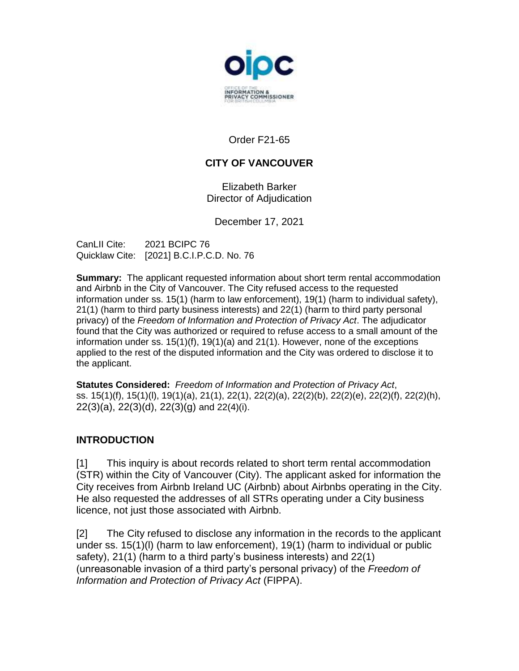

Order F21-65

# **CITY OF VANCOUVER**

Elizabeth Barker Director of Adjudication

December 17, 2021

CanLII Cite: 2021 BCIPC 76 Quicklaw Cite: [2021] B.C.I.P.C.D. No. 76

**Summary:** The applicant requested information about short term rental accommodation and Airbnb in the City of Vancouver. The City refused access to the requested information under ss. 15(1) (harm to law enforcement), 19(1) (harm to individual safety), 21(1) (harm to third party business interests) and 22(1) (harm to third party personal privacy) of the *Freedom of Information and Protection of Privacy Act*. The adjudicator found that the City was authorized or required to refuse access to a small amount of the information under ss. 15(1)(f), 19(1)(a) and 21(1). However, none of the exceptions applied to the rest of the disputed information and the City was ordered to disclose it to the applicant.

**Statutes Considered:** *Freedom of Information and Protection of Privacy Act*, ss. 15(1)(f), 15(1)(l), 19(1)(a), 21(1), 22(1), 22(2)(a), 22(2)(b), 22(2)(e), 22(2)(f), 22(2)(h), 22(3)(a), 22(3)(d), 22(3)(g) and 22(4)(i).

## **INTRODUCTION**

[1] This inquiry is about records related to short term rental accommodation (STR) within the City of Vancouver (City). The applicant asked for information the City receives from Airbnb Ireland UC (Airbnb) about Airbnbs operating in the City. He also requested the addresses of all STRs operating under a City business licence, not just those associated with Airbnb.

[2] The City refused to disclose any information in the records to the applicant under ss. 15(1)(l) (harm to law enforcement), 19(1) (harm to individual or public safety), 21(1) (harm to a third party's business interests) and 22(1) (unreasonable invasion of a third party's personal privacy) of the *Freedom of Information and Protection of Privacy Act* (FIPPA).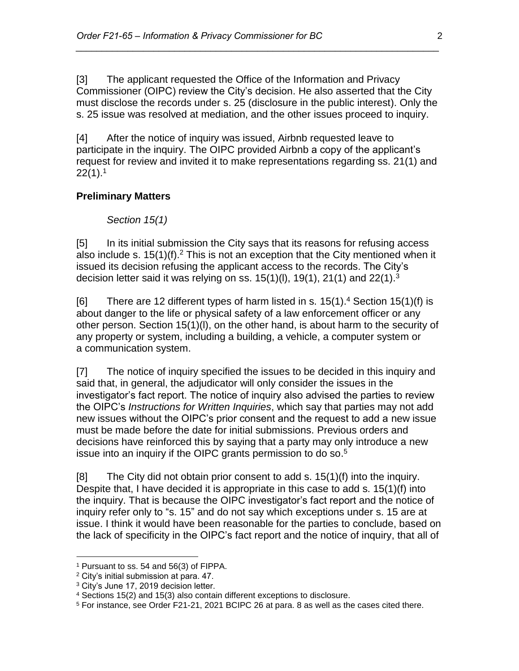[3] The applicant requested the Office of the Information and Privacy Commissioner (OIPC) review the City's decision. He also asserted that the City must disclose the records under s. 25 (disclosure in the public interest). Only the s. 25 issue was resolved at mediation, and the other issues proceed to inquiry.

*\_\_\_\_\_\_\_\_\_\_\_\_\_\_\_\_\_\_\_\_\_\_\_\_\_\_\_\_\_\_\_\_\_\_\_\_\_\_\_\_\_\_\_\_\_\_\_\_\_\_\_\_\_\_\_\_\_\_\_\_\_\_\_\_\_\_\_\_\_\_*

[4] After the notice of inquiry was issued, Airbnb requested leave to participate in the inquiry. The OIPC provided Airbnb a copy of the applicant's request for review and invited it to make representations regarding ss. 21(1) and  $22(1).1$ 

#### **Preliminary Matters**

*Section 15(1)*

[5] In its initial submission the City says that its reasons for refusing access also include s.  $15(1)(f)$ .<sup>2</sup> This is not an exception that the City mentioned when it issued its decision refusing the applicant access to the records. The City's decision letter said it was relying on ss.  $15(1)(l)$ ,  $19(1)$ ,  $21(1)$  and  $22(1).<sup>3</sup>$ 

[6] There are 12 different types of harm listed in s.  $15(1)$ .<sup>4</sup> Section  $15(1)$ (f) is about danger to the life or physical safety of a law enforcement officer or any other person. Section 15(1)(l), on the other hand, is about harm to the security of any property or system, including a building, a vehicle, a computer system or a communication system.

[7] The notice of inquiry specified the issues to be decided in this inquiry and said that, in general, the adjudicator will only consider the issues in the investigator's fact report. The notice of inquiry also advised the parties to review the OIPC's *Instructions for Written Inquiries*, which say that parties may not add new issues without the OIPC's prior consent and the request to add a new issue must be made before the date for initial submissions. Previous orders and decisions have reinforced this by saying that a party may only introduce a new issue into an inquiry if the OIPC grants permission to do so. $5$ 

[8] The City did not obtain prior consent to add s. 15(1)(f) into the inquiry. Despite that, I have decided it is appropriate in this case to add s. 15(1)(f) into the inquiry. That is because the OIPC investigator's fact report and the notice of inquiry refer only to "s. 15" and do not say which exceptions under s. 15 are at issue. I think it would have been reasonable for the parties to conclude, based on the lack of specificity in the OIPC's fact report and the notice of inquiry, that all of

<sup>1</sup> Pursuant to ss. 54 and 56(3) of FIPPA.

<sup>2</sup> City's initial submission at para. 47.

<sup>&</sup>lt;sup>3</sup> City's June 17, 2019 decision letter.

<sup>4</sup> Sections 15(2) and 15(3) also contain different exceptions to disclosure.

<sup>5</sup> For instance, see Order F21-21, 2021 BCIPC 26 at para. 8 as well as the cases cited there.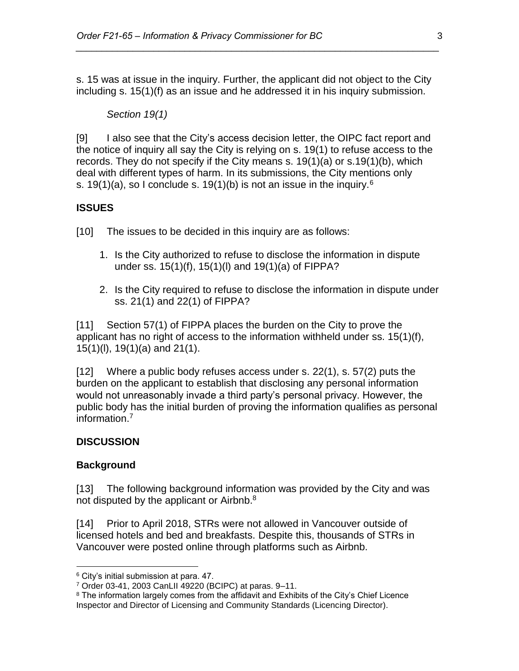s. 15 was at issue in the inquiry. Further, the applicant did not object to the City including s. 15(1)(f) as an issue and he addressed it in his inquiry submission.

*\_\_\_\_\_\_\_\_\_\_\_\_\_\_\_\_\_\_\_\_\_\_\_\_\_\_\_\_\_\_\_\_\_\_\_\_\_\_\_\_\_\_\_\_\_\_\_\_\_\_\_\_\_\_\_\_\_\_\_\_\_\_\_\_\_\_\_\_\_\_*

#### *Section 19(1)*

[9] I also see that the City's access decision letter, the OIPC fact report and the notice of inquiry all say the City is relying on s. 19(1) to refuse access to the records. They do not specify if the City means s. 19(1)(a) or s.19(1)(b), which deal with different types of harm. In its submissions, the City mentions only s. 19(1)(a), so I conclude s. 19(1)(b) is not an issue in the inquiry.<sup>6</sup>

## **ISSUES**

[10] The issues to be decided in this inquiry are as follows:

- 1. Is the City authorized to refuse to disclose the information in dispute under ss. 15(1)(f), 15(1)(l) and 19(1)(a) of FIPPA?
- 2. Is the City required to refuse to disclose the information in dispute under ss. 21(1) and 22(1) of FIPPA?

[11] Section 57(1) of FIPPA places the burden on the City to prove the applicant has no right of access to the information withheld under ss. 15(1)(f), 15(1)(l), 19(1)(a) and 21(1).

[12] Where a public body refuses access under s. 22(1), s. 57(2) puts the burden on the applicant to establish that disclosing any personal information would not unreasonably invade a third party's personal privacy. However, the public body has the initial burden of proving the information qualifies as personal information. 7

## **DISCUSSION**

## **Background**

 $\overline{a}$ 

[13] The following background information was provided by the City and was not disputed by the applicant or Airbnb.<sup>8</sup>

[14] Prior to April 2018, STRs were not allowed in Vancouver outside of licensed hotels and bed and breakfasts. Despite this, thousands of STRs in Vancouver were posted online through platforms such as Airbnb.

<sup>6</sup> City's initial submission at para. 47.

<sup>7</sup> Order 03-41, 2003 CanLII 49220 (BCIPC) at paras. 9–11.

<sup>&</sup>lt;sup>8</sup> The information largely comes from the affidavit and Exhibits of the City's Chief Licence Inspector and Director of Licensing and Community Standards (Licencing Director).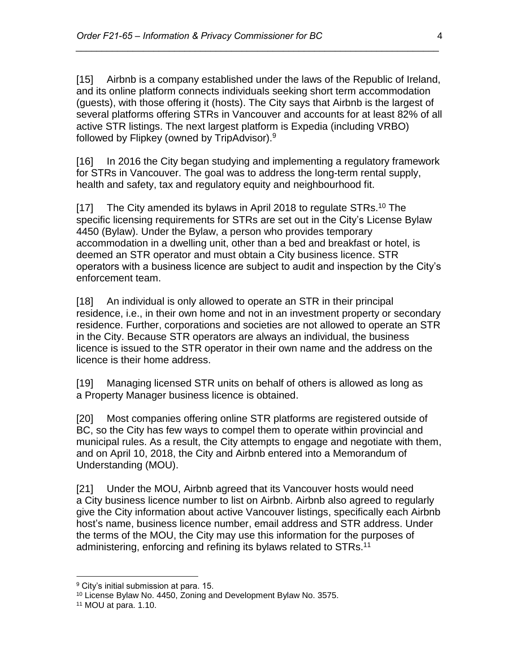[15] Airbnb is a company established under the laws of the Republic of Ireland, and its online platform connects individuals seeking short term accommodation (guests), with those offering it (hosts). The City says that Airbnb is the largest of several platforms offering STRs in Vancouver and accounts for at least 82% of all active STR listings. The next largest platform is Expedia (including VRBO) followed by Flipkey (owned by TripAdvisor).<sup>9</sup>

*\_\_\_\_\_\_\_\_\_\_\_\_\_\_\_\_\_\_\_\_\_\_\_\_\_\_\_\_\_\_\_\_\_\_\_\_\_\_\_\_\_\_\_\_\_\_\_\_\_\_\_\_\_\_\_\_\_\_\_\_\_\_\_\_\_\_\_\_\_\_*

[16] In 2016 the City began studying and implementing a regulatory framework for STRs in Vancouver. The goal was to address the long-term rental supply, health and safety, tax and regulatory equity and neighbourhood fit.

[17] The City amended its bylaws in April 2018 to regulate STRs.<sup>10</sup> The specific licensing requirements for STRs are set out in the City's License Bylaw 4450 (Bylaw). Under the Bylaw, a person who provides temporary accommodation in a dwelling unit, other than a bed and breakfast or hotel, is deemed an STR operator and must obtain a City business licence. STR operators with a business licence are subject to audit and inspection by the City's enforcement team.

[18] An individual is only allowed to operate an STR in their principal residence, i.e., in their own home and not in an investment property or secondary residence. Further, corporations and societies are not allowed to operate an STR in the City. Because STR operators are always an individual, the business licence is issued to the STR operator in their own name and the address on the licence is their home address.

[19] Managing licensed STR units on behalf of others is allowed as long as a Property Manager business licence is obtained.

[20] Most companies offering online STR platforms are registered outside of BC, so the City has few ways to compel them to operate within provincial and municipal rules. As a result, the City attempts to engage and negotiate with them, and on April 10, 2018, the City and Airbnb entered into a Memorandum of Understanding (MOU).

[21] Under the MOU, Airbnb agreed that its Vancouver hosts would need a City business licence number to list on Airbnb. Airbnb also agreed to regularly give the City information about active Vancouver listings, specifically each Airbnb host's name, business licence number, email address and STR address. Under the terms of the MOU, the City may use this information for the purposes of administering, enforcing and refining its bylaws related to STRs.<sup>11</sup>

<sup>&</sup>lt;sup>9</sup> City's initial submission at para. 15.

<sup>10</sup> License Bylaw No. 4450, Zoning and Development Bylaw No. 3575.

<sup>11</sup> MOU at para. 1.10.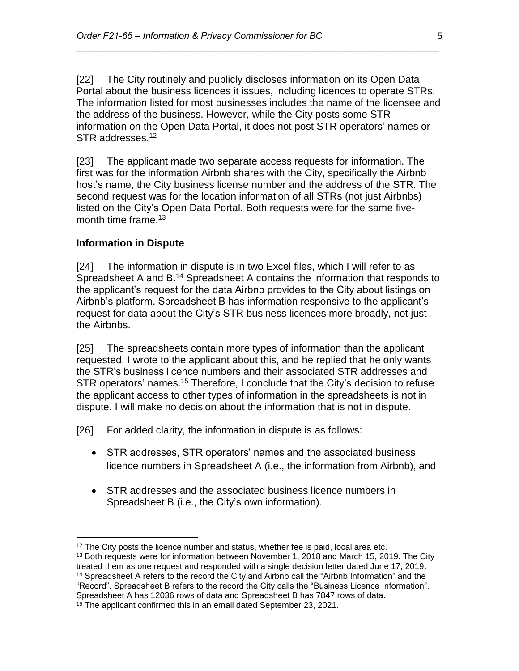[22] The City routinely and publicly discloses information on its Open Data Portal about the business licences it issues, including licences to operate STRs. The information listed for most businesses includes the name of the licensee and the address of the business. However, while the City posts some STR information on the Open Data Portal, it does not post STR operators' names or STR addresses.<sup>12</sup>

*\_\_\_\_\_\_\_\_\_\_\_\_\_\_\_\_\_\_\_\_\_\_\_\_\_\_\_\_\_\_\_\_\_\_\_\_\_\_\_\_\_\_\_\_\_\_\_\_\_\_\_\_\_\_\_\_\_\_\_\_\_\_\_\_\_\_\_\_\_\_*

[23] The applicant made two separate access requests for information. The first was for the information Airbnb shares with the City, specifically the Airbnb host's name, the City business license number and the address of the STR. The second request was for the location information of all STRs (not just Airbnbs) listed on the City's Open Data Portal. Both requests were for the same fivemonth time frame.<sup>13</sup>

#### **Information in Dispute**

[24] The information in dispute is in two Excel files, which I will refer to as Spreadsheet A and B.<sup>14</sup> Spreadsheet A contains the information that responds to the applicant's request for the data Airbnb provides to the City about listings on Airbnb's platform. Spreadsheet B has information responsive to the applicant's request for data about the City's STR business licences more broadly, not just the Airbnbs.

[25] The spreadsheets contain more types of information than the applicant requested. I wrote to the applicant about this, and he replied that he only wants the STR's business licence numbers and their associated STR addresses and STR operators' names.<sup>15</sup> Therefore, I conclude that the City's decision to refuse the applicant access to other types of information in the spreadsheets is not in dispute. I will make no decision about the information that is not in dispute.

[26] For added clarity, the information in dispute is as follows:

- STR addresses, STR operators' names and the associated business licence numbers in Spreadsheet A (i.e., the information from Airbnb), and
- STR addresses and the associated business licence numbers in Spreadsheet B (i.e., the City's own information).

 $\overline{a}$  $12$  The City posts the licence number and status, whether fee is paid, local area etc.

<sup>&</sup>lt;sup>13</sup> Both requests were for information between November 1, 2018 and March 15, 2019. The City treated them as one request and responded with a single decision letter dated June 17, 2019. <sup>14</sup> Spreadsheet A refers to the record the City and Airbnb call the "Airbnb Information" and the "Record". Spreadsheet B refers to the record the City calls the "Business Licence Information". Spreadsheet A has 12036 rows of data and Spreadsheet B has 7847 rows of data.

<sup>&</sup>lt;sup>15</sup> The applicant confirmed this in an email dated September 23, 2021.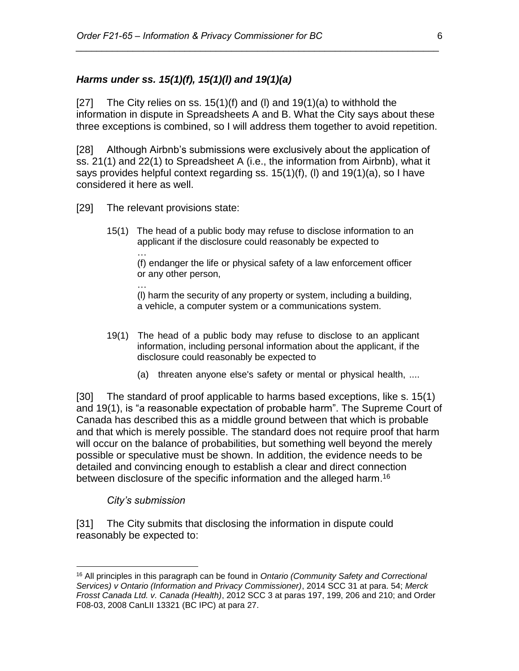#### *Harms under ss. 15(1)(f), 15(1)(l) and 19(1)(a)*

[27] The City relies on ss.  $15(1)(f)$  and (I) and  $19(1)(a)$  to withhold the information in dispute in Spreadsheets A and B. What the City says about these three exceptions is combined, so I will address them together to avoid repetition.

*\_\_\_\_\_\_\_\_\_\_\_\_\_\_\_\_\_\_\_\_\_\_\_\_\_\_\_\_\_\_\_\_\_\_\_\_\_\_\_\_\_\_\_\_\_\_\_\_\_\_\_\_\_\_\_\_\_\_\_\_\_\_\_\_\_\_\_\_\_\_*

[28] Although Airbnb's submissions were exclusively about the application of ss. 21(1) and 22(1) to Spreadsheet A (i.e., the information from Airbnb), what it says provides helpful context regarding ss. 15(1)(f), (l) and 19(1)(a), so I have considered it here as well.

[29] The relevant provisions state:

…

15(1) The head of a public body may refuse to disclose information to an applicant if the disclosure could reasonably be expected to …

(f) endanger the life or physical safety of a law enforcement officer or any other person,

(l) harm the security of any property or system, including a building, a vehicle, a computer system or a communications system.

- 19(1) The head of a public body may refuse to disclose to an applicant information, including personal information about the applicant, if the disclosure could reasonably be expected to
	- (a) threaten anyone else's safety or mental or physical health, ....

[30] The standard of proof applicable to harms based exceptions, like s. 15(1) and 19(1), is "a reasonable expectation of probable harm". The Supreme Court of Canada has described this as a middle ground between that which is probable and that which is merely possible. The standard does not require proof that harm will occur on the balance of probabilities, but something well beyond the merely possible or speculative must be shown. In addition, the evidence needs to be detailed and convincing enough to establish a clear and direct connection between disclosure of the specific information and the alleged harm.<sup>16</sup>

#### *City's submission*

 $\overline{a}$ 

[31] The City submits that disclosing the information in dispute could reasonably be expected to:

<sup>16</sup> All principles in this paragraph can be found in *Ontario (Community Safety and Correctional Services) v Ontario (Information and Privacy Commissioner)*, 2014 SCC 31 at para. 54; *Merck Frosst Canada Ltd. v. Canada (Health)*, 2012 SCC 3 at paras 197, 199, 206 and 210; and Order F08-03, 2008 CanLII 13321 (BC IPC) at para 27.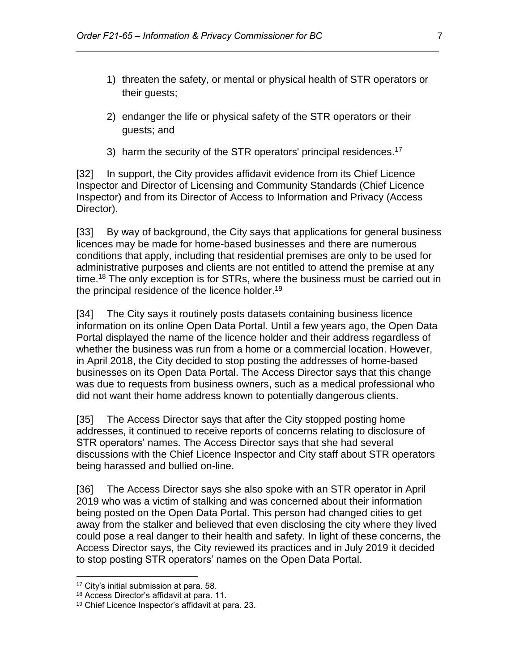- 1) threaten the safety, or mental or physical health of STR operators or their guests;
- 2) endanger the life or physical safety of the STR operators or their guests; and

*\_\_\_\_\_\_\_\_\_\_\_\_\_\_\_\_\_\_\_\_\_\_\_\_\_\_\_\_\_\_\_\_\_\_\_\_\_\_\_\_\_\_\_\_\_\_\_\_\_\_\_\_\_\_\_\_\_\_\_\_\_\_\_\_\_\_\_\_\_\_*

3) harm the security of the STR operators' principal residences.<sup>17</sup>

[32] In support, the City provides affidavit evidence from its Chief Licence Inspector and Director of Licensing and Community Standards (Chief Licence Inspector) and from its Director of Access to Information and Privacy (Access Director).

[33] By way of background, the City says that applications for general business licences may be made for home-based businesses and there are numerous conditions that apply, including that residential premises are only to be used for administrative purposes and clients are not entitled to attend the premise at any time.<sup>18</sup> The only exception is for STRs, where the business must be carried out in the principal residence of the licence holder.<sup>19</sup>

[34] The City says it routinely posts datasets containing business licence information on its online Open Data Portal. Until a few years ago, the Open Data Portal displayed the name of the licence holder and their address regardless of whether the business was run from a home or a commercial location. However, in April 2018, the City decided to stop posting the addresses of home-based businesses on its Open Data Portal. The Access Director says that this change was due to requests from business owners, such as a medical professional who did not want their home address known to potentially dangerous clients.

[35] The Access Director says that after the City stopped posting home addresses, it continued to receive reports of concerns relating to disclosure of STR operators' names. The Access Director says that she had several discussions with the Chief Licence Inspector and City staff about STR operators being harassed and bullied on-line.

[36] The Access Director says she also spoke with an STR operator in April 2019 who was a victim of stalking and was concerned about their information being posted on the Open Data Portal. This person had changed cities to get away from the stalker and believed that even disclosing the city where they lived could pose a real danger to their health and safety. In light of these concerns, the Access Director says, the City reviewed its practices and in July 2019 it decided to stop posting STR operators' names on the Open Data Portal.

<sup>17</sup> City's initial submission at para. 58.

<sup>18</sup> Access Director's affidavit at para. 11.

<sup>19</sup> Chief Licence Inspector's affidavit at para. 23.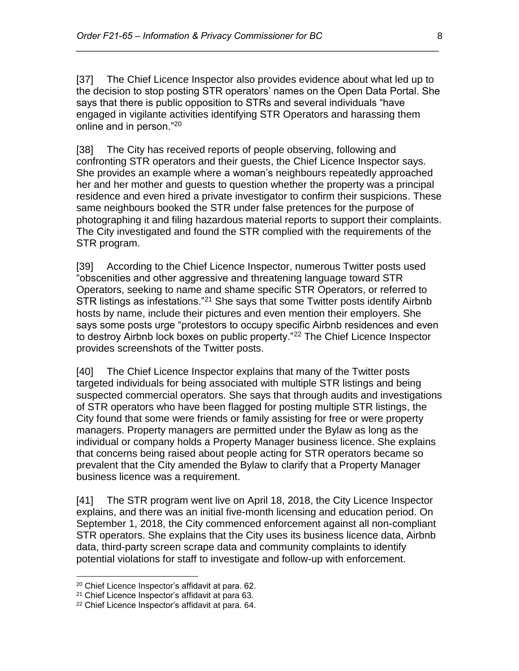[37] The Chief Licence Inspector also provides evidence about what led up to the decision to stop posting STR operators' names on the Open Data Portal. She says that there is public opposition to STRs and several individuals "have engaged in vigilante activities identifying STR Operators and harassing them online and in person."<sup>20</sup>

*\_\_\_\_\_\_\_\_\_\_\_\_\_\_\_\_\_\_\_\_\_\_\_\_\_\_\_\_\_\_\_\_\_\_\_\_\_\_\_\_\_\_\_\_\_\_\_\_\_\_\_\_\_\_\_\_\_\_\_\_\_\_\_\_\_\_\_\_\_\_*

[38] The City has received reports of people observing, following and confronting STR operators and their guests, the Chief Licence Inspector says. She provides an example where a woman's neighbours repeatedly approached her and her mother and guests to question whether the property was a principal residence and even hired a private investigator to confirm their suspicions. These same neighbours booked the STR under false pretences for the purpose of photographing it and filing hazardous material reports to support their complaints. The City investigated and found the STR complied with the requirements of the STR program.

[39] According to the Chief Licence Inspector, numerous Twitter posts used "obscenities and other aggressive and threatening language toward STR Operators, seeking to name and shame specific STR Operators, or referred to STR listings as infestations."<sup>21</sup> She says that some Twitter posts identify Airbnb hosts by name, include their pictures and even mention their employers. She says some posts urge "protestors to occupy specific Airbnb residences and even to destroy Airbnb lock boxes on public property."<sup>22</sup> The Chief Licence Inspector provides screenshots of the Twitter posts.

[40] The Chief Licence Inspector explains that many of the Twitter posts targeted individuals for being associated with multiple STR listings and being suspected commercial operators. She says that through audits and investigations of STR operators who have been flagged for posting multiple STR listings, the City found that some were friends or family assisting for free or were property managers. Property managers are permitted under the Bylaw as long as the individual or company holds a Property Manager business licence. She explains that concerns being raised about people acting for STR operators became so prevalent that the City amended the Bylaw to clarify that a Property Manager business licence was a requirement.

[41] The STR program went live on April 18, 2018, the City Licence Inspector explains, and there was an initial five-month licensing and education period. On September 1, 2018, the City commenced enforcement against all non-compliant STR operators. She explains that the City uses its business licence data, Airbnb data, third-party screen scrape data and community complaints to identify potential violations for staff to investigate and follow-up with enforcement.

<sup>20</sup> Chief Licence Inspector's affidavit at para. 62.

<sup>21</sup> Chief Licence Inspector's affidavit at para 63.

<sup>22</sup> Chief Licence Inspector's affidavit at para. 64.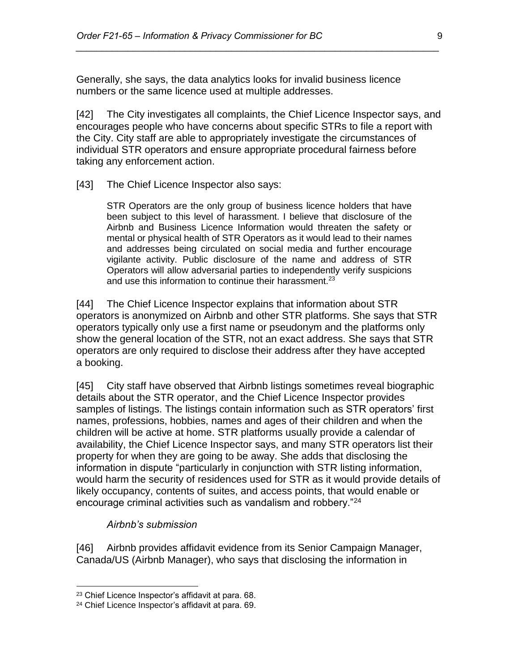Generally, she says, the data analytics looks for invalid business licence numbers or the same licence used at multiple addresses.

[42] The City investigates all complaints, the Chief Licence Inspector says, and encourages people who have concerns about specific STRs to file a report with the City. City staff are able to appropriately investigate the circumstances of individual STR operators and ensure appropriate procedural fairness before taking any enforcement action.

*\_\_\_\_\_\_\_\_\_\_\_\_\_\_\_\_\_\_\_\_\_\_\_\_\_\_\_\_\_\_\_\_\_\_\_\_\_\_\_\_\_\_\_\_\_\_\_\_\_\_\_\_\_\_\_\_\_\_\_\_\_\_\_\_\_\_\_\_\_\_*

[43] The Chief Licence Inspector also says:

STR Operators are the only group of business licence holders that have been subject to this level of harassment. I believe that disclosure of the Airbnb and Business Licence Information would threaten the safety or mental or physical health of STR Operators as it would lead to their names and addresses being circulated on social media and further encourage vigilante activity. Public disclosure of the name and address of STR Operators will allow adversarial parties to independently verify suspicions and use this information to continue their harassment. $23$ 

[44] The Chief Licence Inspector explains that information about STR operators is anonymized on Airbnb and other STR platforms. She says that STR operators typically only use a first name or pseudonym and the platforms only show the general location of the STR, not an exact address. She says that STR operators are only required to disclose their address after they have accepted a booking.

[45] City staff have observed that Airbnb listings sometimes reveal biographic details about the STR operator, and the Chief Licence Inspector provides samples of listings. The listings contain information such as STR operators' first names, professions, hobbies, names and ages of their children and when the children will be active at home. STR platforms usually provide a calendar of availability, the Chief Licence Inspector says, and many STR operators list their property for when they are going to be away. She adds that disclosing the information in dispute "particularly in conjunction with STR listing information, would harm the security of residences used for STR as it would provide details of likely occupancy, contents of suites, and access points, that would enable or encourage criminal activities such as vandalism and robbery."<sup>24</sup>

*Airbnb's submission*

 $\overline{a}$ 

[46] Airbnb provides affidavit evidence from its Senior Campaign Manager, Canada/US (Airbnb Manager), who says that disclosing the information in

<sup>23</sup> Chief Licence Inspector's affidavit at para. 68.

<sup>24</sup> Chief Licence Inspector's affidavit at para. 69.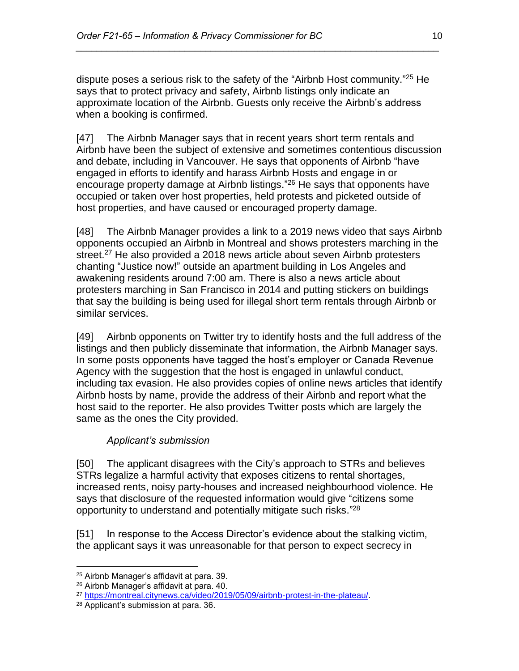dispute poses a serious risk to the safety of the "Airbnb Host community." <sup>25</sup> He says that to protect privacy and safety, Airbnb listings only indicate an approximate location of the Airbnb. Guests only receive the Airbnb's address when a booking is confirmed.

*\_\_\_\_\_\_\_\_\_\_\_\_\_\_\_\_\_\_\_\_\_\_\_\_\_\_\_\_\_\_\_\_\_\_\_\_\_\_\_\_\_\_\_\_\_\_\_\_\_\_\_\_\_\_\_\_\_\_\_\_\_\_\_\_\_\_\_\_\_\_*

[47] The Airbnb Manager says that in recent years short term rentals and Airbnb have been the subject of extensive and sometimes contentious discussion and debate, including in Vancouver. He says that opponents of Airbnb "have engaged in efforts to identify and harass Airbnb Hosts and engage in or encourage property damage at Airbnb listings."<sup>26</sup> He says that opponents have occupied or taken over host properties, held protests and picketed outside of host properties, and have caused or encouraged property damage.

[48] The Airbnb Manager provides a link to a 2019 news video that says Airbnb opponents occupied an Airbnb in Montreal and shows protesters marching in the street.<sup>27</sup> He also provided a 2018 news article about seven Airbnb protesters chanting "Justice now!" outside an apartment building in Los Angeles and awakening residents around 7:00 am. There is also a news article about protesters marching in San Francisco in 2014 and putting stickers on buildings that say the building is being used for illegal short term rentals through Airbnb or similar services.

[49] Airbnb opponents on Twitter try to identify hosts and the full address of the listings and then publicly disseminate that information, the Airbnb Manager says. In some posts opponents have tagged the host's employer or Canada Revenue Agency with the suggestion that the host is engaged in unlawful conduct, including tax evasion. He also provides copies of online news articles that identify Airbnb hosts by name, provide the address of their Airbnb and report what the host said to the reporter. He also provides Twitter posts which are largely the same as the ones the City provided.

## *Applicant's submission*

[50] The applicant disagrees with the City's approach to STRs and believes STRs legalize a harmful activity that exposes citizens to rental shortages, increased rents, noisy party-houses and increased neighbourhood violence. He says that disclosure of the requested information would give "citizens some opportunity to understand and potentially mitigate such risks."<sup>28</sup>

[51] In response to the Access Director's evidence about the stalking victim, the applicant says it was unreasonable for that person to expect secrecy in

 $\overline{a}$ <sup>25</sup> Airbnb Manager's affidavit at para. 39.

<sup>26</sup> Airbnb Manager's affidavit at para. 40.

<sup>27</sup> [https://montreal.citynews.ca/video/2019/05/09/airbnb-protest-in-the-plateau/.](https://montreal.citynews.ca/video/2019/05/09/airbnb-protest-in-the-plateau/)

<sup>28</sup> Applicant's submission at para. 36.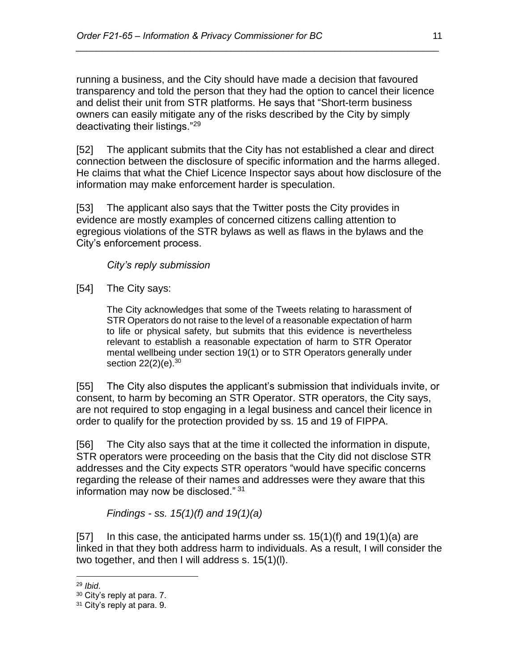running a business, and the City should have made a decision that favoured transparency and told the person that they had the option to cancel their licence and delist their unit from STR platforms. He says that "Short-term business owners can easily mitigate any of the risks described by the City by simply deactivating their listings."<sup>29</sup>

*\_\_\_\_\_\_\_\_\_\_\_\_\_\_\_\_\_\_\_\_\_\_\_\_\_\_\_\_\_\_\_\_\_\_\_\_\_\_\_\_\_\_\_\_\_\_\_\_\_\_\_\_\_\_\_\_\_\_\_\_\_\_\_\_\_\_\_\_\_\_*

[52] The applicant submits that the City has not established a clear and direct connection between the disclosure of specific information and the harms alleged. He claims that what the Chief Licence Inspector says about how disclosure of the information may make enforcement harder is speculation.

[53] The applicant also says that the Twitter posts the City provides in evidence are mostly examples of concerned citizens calling attention to egregious violations of the STR bylaws as well as flaws in the bylaws and the City's enforcement process.

## *City's reply submission*

[54] The City says:

The City acknowledges that some of the Tweets relating to harassment of STR Operators do not raise to the level of a reasonable expectation of harm to life or physical safety, but submits that this evidence is nevertheless relevant to establish a reasonable expectation of harm to STR Operator mental wellbeing under section 19(1) or to STR Operators generally under section 22(2)(e).<sup>30</sup>

[55] The City also disputes the applicant's submission that individuals invite, or consent, to harm by becoming an STR Operator. STR operators, the City says, are not required to stop engaging in a legal business and cancel their licence in order to qualify for the protection provided by ss. 15 and 19 of FIPPA.

[56] The City also says that at the time it collected the information in dispute, STR operators were proceeding on the basis that the City did not disclose STR addresses and the City expects STR operators "would have specific concerns regarding the release of their names and addresses were they aware that this information may now be disclosed." <sup>31</sup>

*Findings - ss. 15(1)(f) and 19(1)(a)* 

[57] In this case, the anticipated harms under ss.  $15(1)(f)$  and  $19(1)(a)$  are linked in that they both address harm to individuals. As a result, I will consider the two together, and then I will address s. 15(1)(l).

<sup>29</sup> *Ibid*.

<sup>30</sup> City's reply at para. 7.

<sup>&</sup>lt;sup>31</sup> City's reply at para. 9.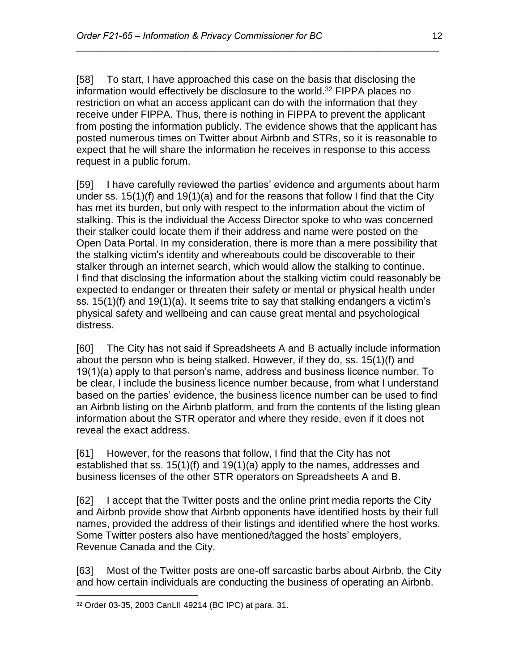[58] To start, I have approached this case on the basis that disclosing the information would effectively be disclosure to the world.<sup>32</sup> FIPPA places no restriction on what an access applicant can do with the information that they receive under FIPPA. Thus, there is nothing in FIPPA to prevent the applicant from posting the information publicly. The evidence shows that the applicant has posted numerous times on Twitter about Airbnb and STRs, so it is reasonable to expect that he will share the information he receives in response to this access request in a public forum.

*\_\_\_\_\_\_\_\_\_\_\_\_\_\_\_\_\_\_\_\_\_\_\_\_\_\_\_\_\_\_\_\_\_\_\_\_\_\_\_\_\_\_\_\_\_\_\_\_\_\_\_\_\_\_\_\_\_\_\_\_\_\_\_\_\_\_\_\_\_\_*

[59] I have carefully reviewed the parties' evidence and arguments about harm under ss. 15(1)(f) and 19(1)(a) and for the reasons that follow I find that the City has met its burden, but only with respect to the information about the victim of stalking. This is the individual the Access Director spoke to who was concerned their stalker could locate them if their address and name were posted on the Open Data Portal. In my consideration, there is more than a mere possibility that the stalking victim's identity and whereabouts could be discoverable to their stalker through an internet search, which would allow the stalking to continue. I find that disclosing the information about the stalking victim could reasonably be expected to endanger or threaten their safety or mental or physical health under ss. 15(1)(f) and 19(1)(a). It seems trite to say that stalking endangers a victim's physical safety and wellbeing and can cause great mental and psychological distress.

[60] The City has not said if Spreadsheets A and B actually include information about the person who is being stalked. However, if they do, ss. 15(1)(f) and 19(1)(a) apply to that person's name, address and business licence number. To be clear, I include the business licence number because, from what I understand based on the parties' evidence, the business licence number can be used to find an Airbnb listing on the Airbnb platform, and from the contents of the listing glean information about the STR operator and where they reside, even if it does not reveal the exact address.

[61] However, for the reasons that follow, I find that the City has not established that ss. 15(1)(f) and 19(1)(a) apply to the names, addresses and business licenses of the other STR operators on Spreadsheets A and B.

[62] I accept that the Twitter posts and the online print media reports the City and Airbnb provide show that Airbnb opponents have identified hosts by their full names, provided the address of their listings and identified where the host works. Some Twitter posters also have mentioned/tagged the hosts' employers, Revenue Canada and the City.

[63] Most of the Twitter posts are one-off sarcastic barbs about Airbnb, the City and how certain individuals are conducting the business of operating an Airbnb.

 $\overline{a}$ <sup>32</sup> Order 03-35, 2003 CanLII 49214 (BC IPC) at para. 31.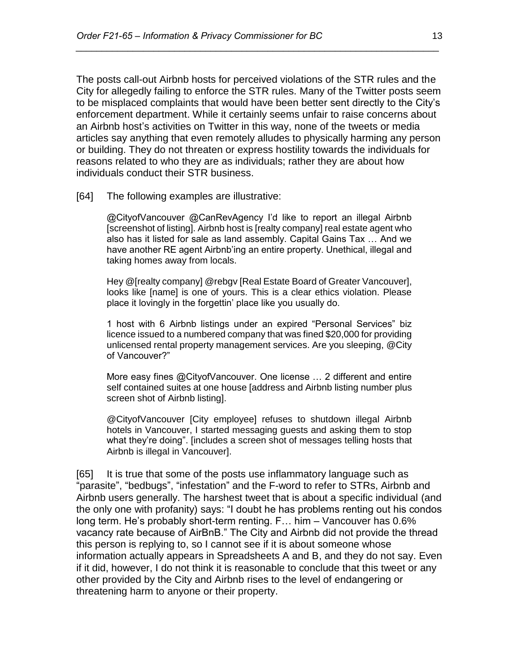The posts call-out Airbnb hosts for perceived violations of the STR rules and the City for allegedly failing to enforce the STR rules. Many of the Twitter posts seem to be misplaced complaints that would have been better sent directly to the City's enforcement department. While it certainly seems unfair to raise concerns about an Airbnb host's activities on Twitter in this way, none of the tweets or media articles say anything that even remotely alludes to physically harming any person or building. They do not threaten or express hostility towards the individuals for reasons related to who they are as individuals; rather they are about how individuals conduct their STR business.

*\_\_\_\_\_\_\_\_\_\_\_\_\_\_\_\_\_\_\_\_\_\_\_\_\_\_\_\_\_\_\_\_\_\_\_\_\_\_\_\_\_\_\_\_\_\_\_\_\_\_\_\_\_\_\_\_\_\_\_\_\_\_\_\_\_\_\_\_\_\_*

[64] The following examples are illustrative:

@CityofVancouver @CanRevAgency I'd like to report an illegal Airbnb [screenshot of listing]. Airbnb host is [realty company] real estate agent who also has it listed for sale as land assembly. Capital Gains Tax … And we have another RE agent Airbnb'ing an entire property. Unethical, illegal and taking homes away from locals.

Hey @[realty company] @rebgv [Real Estate Board of Greater Vancouver], looks like [name] is one of yours. This is a clear ethics violation. Please place it lovingly in the forgettin' place like you usually do.

1 host with 6 Airbnb listings under an expired "Personal Services" biz licence issued to a numbered company that was fined \$20,000 for providing unlicensed rental property management services. Are you sleeping, @City of Vancouver?"

More easy fines @CityofVancouver. One license … 2 different and entire self contained suites at one house [address and Airbnb listing number plus screen shot of Airbnb listing].

@CityofVancouver [City employee] refuses to shutdown illegal Airbnb hotels in Vancouver, I started messaging guests and asking them to stop what they're doing". [includes a screen shot of messages telling hosts that Airbnb is illegal in Vancouver].

[65] It is true that some of the posts use inflammatory language such as "parasite", "bedbugs", "infestation" and the F-word to refer to STRs, Airbnb and Airbnb users generally. The harshest tweet that is about a specific individual (and the only one with profanity) says: "I doubt he has problems renting out his condos long term. He's probably short-term renting. F… him – Vancouver has 0.6% vacancy rate because of AirBnB." The City and Airbnb did not provide the thread this person is replying to, so I cannot see if it is about someone whose information actually appears in Spreadsheets A and B, and they do not say. Even if it did, however, I do not think it is reasonable to conclude that this tweet or any other provided by the City and Airbnb rises to the level of endangering or threatening harm to anyone or their property.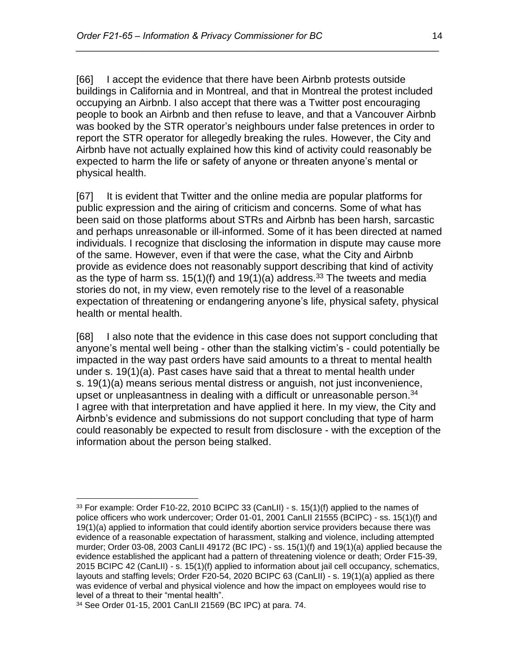[66] I accept the evidence that there have been Airbnb protests outside buildings in California and in Montreal, and that in Montreal the protest included occupying an Airbnb. I also accept that there was a Twitter post encouraging people to book an Airbnb and then refuse to leave, and that a Vancouver Airbnb was booked by the STR operator's neighbours under false pretences in order to report the STR operator for allegedly breaking the rules. However, the City and Airbnb have not actually explained how this kind of activity could reasonably be expected to harm the life or safety of anyone or threaten anyone's mental or physical health.

*\_\_\_\_\_\_\_\_\_\_\_\_\_\_\_\_\_\_\_\_\_\_\_\_\_\_\_\_\_\_\_\_\_\_\_\_\_\_\_\_\_\_\_\_\_\_\_\_\_\_\_\_\_\_\_\_\_\_\_\_\_\_\_\_\_\_\_\_\_\_*

[67] It is evident that Twitter and the online media are popular platforms for public expression and the airing of criticism and concerns. Some of what has been said on those platforms about STRs and Airbnb has been harsh, sarcastic and perhaps unreasonable or ill-informed. Some of it has been directed at named individuals. I recognize that disclosing the information in dispute may cause more of the same. However, even if that were the case, what the City and Airbnb provide as evidence does not reasonably support describing that kind of activity as the type of harm ss.  $15(1)(f)$  and  $19(1)(a)$  address.<sup>33</sup> The tweets and media stories do not, in my view, even remotely rise to the level of a reasonable expectation of threatening or endangering anyone's life, physical safety, physical health or mental health.

[68] I also note that the evidence in this case does not support concluding that anyone's mental well being - other than the stalking victim's - could potentially be impacted in the way past orders have said amounts to a threat to mental health under s. 19(1)(a). Past cases have said that a threat to mental health under s. 19(1)(a) means serious mental distress or anguish, not just inconvenience, upset or unpleasantness in dealing with a difficult or unreasonable person. $34$ I agree with that interpretation and have applied it here. In my view, the City and Airbnb's evidence and submissions do not support concluding that type of harm could reasonably be expected to result from disclosure - with the exception of the information about the person being stalked.

 $\overline{a}$  $33$  For example: Order F10-22, 2010 BCIPC 33 (CanLII) - s. 15(1)(f) applied to the names of police officers who work undercover; Order 01-01, 2001 CanLII 21555 (BCIPC) - ss. 15(1)(f) and 19(1)(a) applied to information that could identify abortion service providers because there was evidence of a reasonable expectation of harassment, stalking and violence, including attempted murder; Order 03-08, 2003 CanLII 49172 (BC IPC) - ss. 15(1)(f) and 19(1)(a) applied because the evidence established the applicant had a pattern of threatening violence or death; Order F15-39, 2015 BCIPC 42 (CanLII) - s. 15(1)(f) applied to information about jail cell occupancy, schematics, layouts and staffing levels; Order F20-54, 2020 BCIPC 63 (CanLII) - s. 19(1)(a) applied as there was evidence of verbal and physical violence and how the impact on employees would rise to level of a threat to their "mental health".

<sup>34</sup> See Order 01-15, 2001 CanLII 21569 (BC IPC) at para. 74.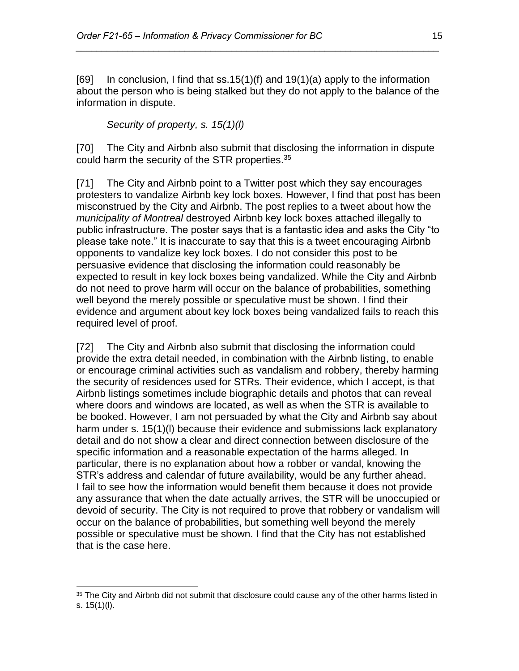[69] In conclusion, I find that  $ss.15(1)$ (f) and  $19(1)$ (a) apply to the information about the person who is being stalked but they do not apply to the balance of the information in dispute.

*\_\_\_\_\_\_\_\_\_\_\_\_\_\_\_\_\_\_\_\_\_\_\_\_\_\_\_\_\_\_\_\_\_\_\_\_\_\_\_\_\_\_\_\_\_\_\_\_\_\_\_\_\_\_\_\_\_\_\_\_\_\_\_\_\_\_\_\_\_\_*

*Security of property, s. 15(1)(l)*

[70] The City and Airbnb also submit that disclosing the information in dispute could harm the security of the STR properties.<sup>35</sup>

[71] The City and Airbnb point to a Twitter post which they say encourages protesters to vandalize Airbnb key lock boxes. However, I find that post has been misconstrued by the City and Airbnb. The post replies to a tweet about how the *municipality of Montreal* destroyed Airbnb key lock boxes attached illegally to public infrastructure. The poster says that is a fantastic idea and asks the City "to please take note." It is inaccurate to say that this is a tweet encouraging Airbnb opponents to vandalize key lock boxes. I do not consider this post to be persuasive evidence that disclosing the information could reasonably be expected to result in key lock boxes being vandalized. While the City and Airbnb do not need to prove harm will occur on the balance of probabilities, something well beyond the merely possible or speculative must be shown. I find their evidence and argument about key lock boxes being vandalized fails to reach this required level of proof.

[72] The City and Airbnb also submit that disclosing the information could provide the extra detail needed, in combination with the Airbnb listing, to enable or encourage criminal activities such as vandalism and robbery, thereby harming the security of residences used for STRs. Their evidence, which I accept, is that Airbnb listings sometimes include biographic details and photos that can reveal where doors and windows are located, as well as when the STR is available to be booked. However, I am not persuaded by what the City and Airbnb say about harm under s. 15(1)(l) because their evidence and submissions lack explanatory detail and do not show a clear and direct connection between disclosure of the specific information and a reasonable expectation of the harms alleged. In particular, there is no explanation about how a robber or vandal, knowing the STR's address and calendar of future availability, would be any further ahead. I fail to see how the information would benefit them because it does not provide any assurance that when the date actually arrives, the STR will be unoccupied or devoid of security. The City is not required to prove that robbery or vandalism will occur on the balance of probabilities, but something well beyond the merely possible or speculative must be shown. I find that the City has not established that is the case here.

<sup>&</sup>lt;sup>35</sup> The City and Airbnb did not submit that disclosure could cause any of the other harms listed in s. 15(1)(l).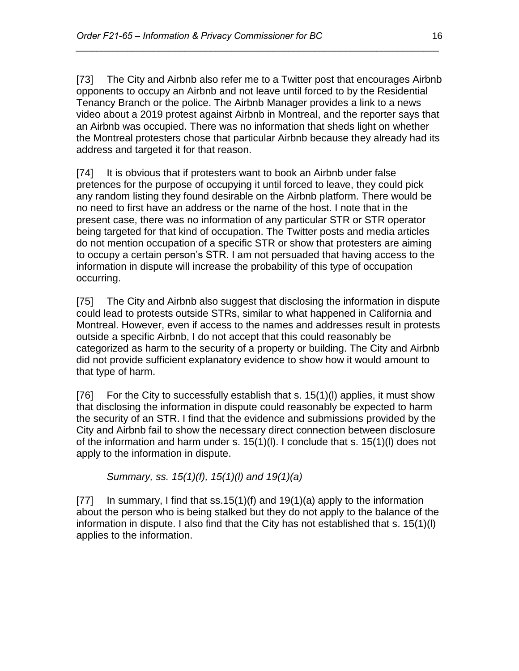[73] The City and Airbnb also refer me to a Twitter post that encourages Airbnb opponents to occupy an Airbnb and not leave until forced to by the Residential Tenancy Branch or the police. The Airbnb Manager provides a link to a news video about a 2019 protest against Airbnb in Montreal, and the reporter says that an Airbnb was occupied. There was no information that sheds light on whether the Montreal protesters chose that particular Airbnb because they already had its address and targeted it for that reason.

*\_\_\_\_\_\_\_\_\_\_\_\_\_\_\_\_\_\_\_\_\_\_\_\_\_\_\_\_\_\_\_\_\_\_\_\_\_\_\_\_\_\_\_\_\_\_\_\_\_\_\_\_\_\_\_\_\_\_\_\_\_\_\_\_\_\_\_\_\_\_*

[74] It is obvious that if protesters want to book an Airbnb under false pretences for the purpose of occupying it until forced to leave, they could pick any random listing they found desirable on the Airbnb platform. There would be no need to first have an address or the name of the host. I note that in the present case, there was no information of any particular STR or STR operator being targeted for that kind of occupation. The Twitter posts and media articles do not mention occupation of a specific STR or show that protesters are aiming to occupy a certain person's STR. I am not persuaded that having access to the information in dispute will increase the probability of this type of occupation occurring.

[75] The City and Airbnb also suggest that disclosing the information in dispute could lead to protests outside STRs, similar to what happened in California and Montreal. However, even if access to the names and addresses result in protests outside a specific Airbnb, I do not accept that this could reasonably be categorized as harm to the security of a property or building. The City and Airbnb did not provide sufficient explanatory evidence to show how it would amount to that type of harm.

[76] For the City to successfully establish that s. 15(1)(l) applies, it must show that disclosing the information in dispute could reasonably be expected to harm the security of an STR. I find that the evidence and submissions provided by the City and Airbnb fail to show the necessary direct connection between disclosure of the information and harm under s. 15(1)(l). I conclude that s. 15(1)(l) does not apply to the information in dispute.

*Summary, ss. 15(1)(f), 15(1)(l) and 19(1)(a)*

[77] In summary, I find that  $ss.15(1)(f)$  and  $19(1)(a)$  apply to the information about the person who is being stalked but they do not apply to the balance of the information in dispute. I also find that the City has not established that s. 15(1)(l) applies to the information.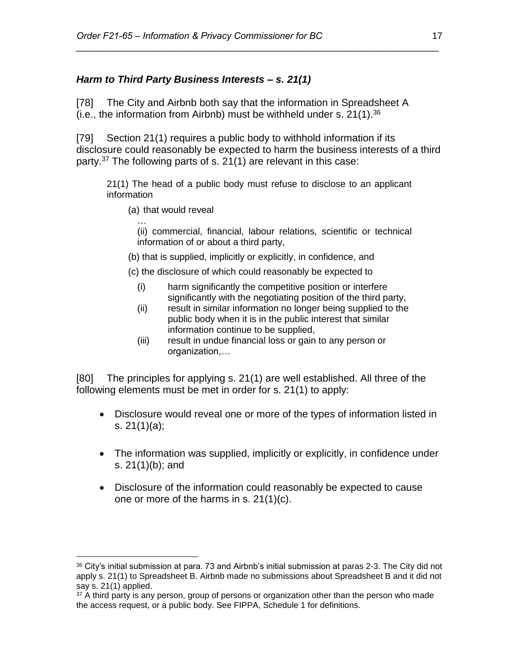## *Harm to Third Party Business Interests – s. 21(1)*

[78] The City and Airbnb both say that the information in Spreadsheet A (i.e., the information from Airbnb) must be withheld under s.  $21(1).^{36}$ 

[79] Section 21(1) requires a public body to withhold information if its disclosure could reasonably be expected to harm the business interests of a third party.<sup>37</sup> The following parts of s. 21(1) are relevant in this case:

*\_\_\_\_\_\_\_\_\_\_\_\_\_\_\_\_\_\_\_\_\_\_\_\_\_\_\_\_\_\_\_\_\_\_\_\_\_\_\_\_\_\_\_\_\_\_\_\_\_\_\_\_\_\_\_\_\_\_\_\_\_\_\_\_\_\_\_\_\_\_*

21(1) The head of a public body must refuse to disclose to an applicant information

(a) that would reveal

…

 $\overline{a}$ 

(ii) commercial, financial, labour relations, scientific or technical information of or about a third party,

- (b) that is supplied, implicitly or explicitly, in confidence, and
- (c) the disclosure of which could reasonably be expected to
	- (i) harm significantly the competitive position or interfere significantly with the negotiating position of the third party,
	- (ii) result in similar information no longer being supplied to the public body when it is in the public interest that similar information continue to be supplied,
	- (iii) result in undue financial loss or gain to any person or organization,…

[80] The principles for applying s. 21(1) are well established. All three of the following elements must be met in order for s. 21(1) to apply:

- Disclosure would reveal one or more of the types of information listed in s. 21(1)(a);
- The information was supplied, implicitly or explicitly, in confidence under s. 21(1)(b); and
- Disclosure of the information could reasonably be expected to cause one or more of the harms in s. 21(1)(c).

 $36$  City's initial submission at para. 73 and Airbnb's initial submission at paras 2-3. The City did not apply s. 21(1) to Spreadsheet B. Airbnb made no submissions about Spreadsheet B and it did not say s. 21(1) applied.

 $37$  A third party is any person, group of persons or organization other than the person who made the access request, or a public body. See FIPPA, Schedule 1 for definitions.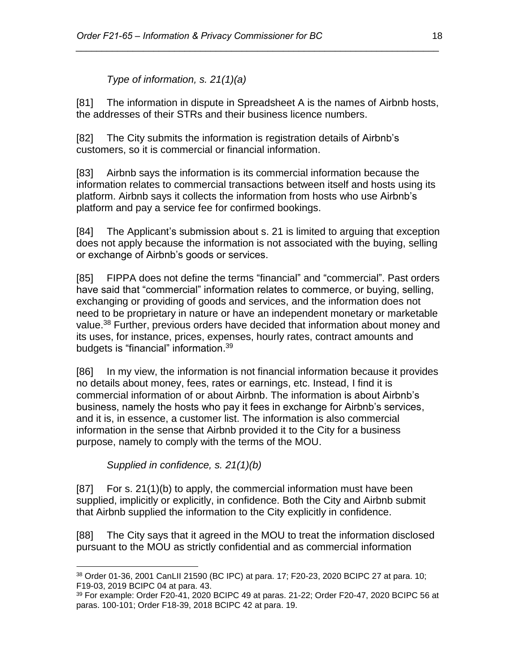*Type of information, s. 21(1)(a)*

[81] The information in dispute in Spreadsheet A is the names of Airbnb hosts, the addresses of their STRs and their business licence numbers.

*\_\_\_\_\_\_\_\_\_\_\_\_\_\_\_\_\_\_\_\_\_\_\_\_\_\_\_\_\_\_\_\_\_\_\_\_\_\_\_\_\_\_\_\_\_\_\_\_\_\_\_\_\_\_\_\_\_\_\_\_\_\_\_\_\_\_\_\_\_\_*

[82] The City submits the information is registration details of Airbnb's customers, so it is commercial or financial information.

[83] Airbnb says the information is its commercial information because the information relates to commercial transactions between itself and hosts using its platform. Airbnb says it collects the information from hosts who use Airbnb's platform and pay a service fee for confirmed bookings.

[84] The Applicant's submission about s. 21 is limited to arguing that exception does not apply because the information is not associated with the buying, selling or exchange of Airbnb's goods or services.

[85] FIPPA does not define the terms "financial" and "commercial". Past orders have said that "commercial" information relates to commerce, or buying, selling, exchanging or providing of goods and services, and the information does not need to be proprietary in nature or have an independent monetary or marketable value.<sup>38</sup> Further, previous orders have decided that information about money and its uses, for instance, prices, expenses, hourly rates, contract amounts and budgets is "financial" information.<sup>39</sup>

[86] In my view, the information is not financial information because it provides no details about money, fees, rates or earnings, etc. Instead, I find it is commercial information of or about Airbnb. The information is about Airbnb's business, namely the hosts who pay it fees in exchange for Airbnb's services, and it is, in essence, a customer list. The information is also commercial information in the sense that Airbnb provided it to the City for a business purpose, namely to comply with the terms of the MOU.

*Supplied in confidence, s. 21(1)(b)*

[87] For s. 21(1)(b) to apply, the commercial information must have been supplied, implicitly or explicitly, in confidence. Both the City and Airbnb submit that Airbnb supplied the information to the City explicitly in confidence.

[88] The City says that it agreed in the MOU to treat the information disclosed pursuant to the MOU as strictly confidential and as commercial information

 $\overline{a}$ <sup>38</sup> Order 01-36, 2001 CanLII 21590 (BC IPC) at para. 17; F20-23, 2020 BCIPC 27 at para. 10; F19-03, 2019 BCIPC 04 at para. 43.

<sup>39</sup> For example: Order F20-41, 2020 BCIPC 49 at paras. 21-22; Order F20-47, 2020 BCIPC 56 at paras. 100-101; Order F18-39, 2018 BCIPC 42 at para. 19.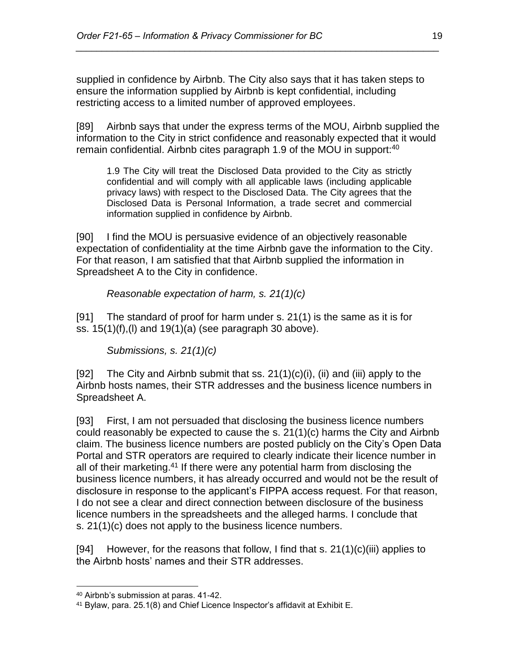supplied in confidence by Airbnb. The City also says that it has taken steps to ensure the information supplied by Airbnb is kept confidential, including restricting access to a limited number of approved employees.

*\_\_\_\_\_\_\_\_\_\_\_\_\_\_\_\_\_\_\_\_\_\_\_\_\_\_\_\_\_\_\_\_\_\_\_\_\_\_\_\_\_\_\_\_\_\_\_\_\_\_\_\_\_\_\_\_\_\_\_\_\_\_\_\_\_\_\_\_\_\_*

[89] Airbnb says that under the express terms of the MOU, Airbnb supplied the information to the City in strict confidence and reasonably expected that it would remain confidential. Airbnb cites paragraph 1.9 of the MOU in support:<sup>40</sup>

1.9 The City will treat the Disclosed Data provided to the City as strictly confidential and will comply with all applicable laws (including applicable privacy laws) with respect to the Disclosed Data. The City agrees that the Disclosed Data is Personal Information, a trade secret and commercial information supplied in confidence by Airbnb.

[90] I find the MOU is persuasive evidence of an objectively reasonable expectation of confidentiality at the time Airbnb gave the information to the City. For that reason, I am satisfied that that Airbnb supplied the information in Spreadsheet A to the City in confidence.

## *Reasonable expectation of harm, s. 21(1)(c)*

[91] The standard of proof for harm under s. 21(1) is the same as it is for ss.  $15(1)(f)$ , (I) and  $19(1)(a)$  (see paragraph 30 above).

*Submissions, s. 21(1)(c)*

[92] The City and Airbnb submit that ss.  $21(1)(c)(i)$ , (ii) and (iii) apply to the Airbnb hosts names, their STR addresses and the business licence numbers in Spreadsheet A.

[93] First, I am not persuaded that disclosing the business licence numbers could reasonably be expected to cause the s. 21(1)(c) harms the City and Airbnb claim. The business licence numbers are posted publicly on the City's Open Data Portal and STR operators are required to clearly indicate their licence number in all of their marketing.<sup>41</sup> If there were any potential harm from disclosing the business licence numbers, it has already occurred and would not be the result of disclosure in response to the applicant's FIPPA access request. For that reason, I do not see a clear and direct connection between disclosure of the business licence numbers in the spreadsheets and the alleged harms. I conclude that s. 21(1)(c) does not apply to the business licence numbers.

[94] However, for the reasons that follow, I find that s.  $21(1)(c)(iii)$  applies to the Airbnb hosts' names and their STR addresses.

<sup>40</sup> Airbnb's submission at paras. 41-42.

<sup>41</sup> Bylaw, para. 25.1(8) and Chief Licence Inspector's affidavit at Exhibit E.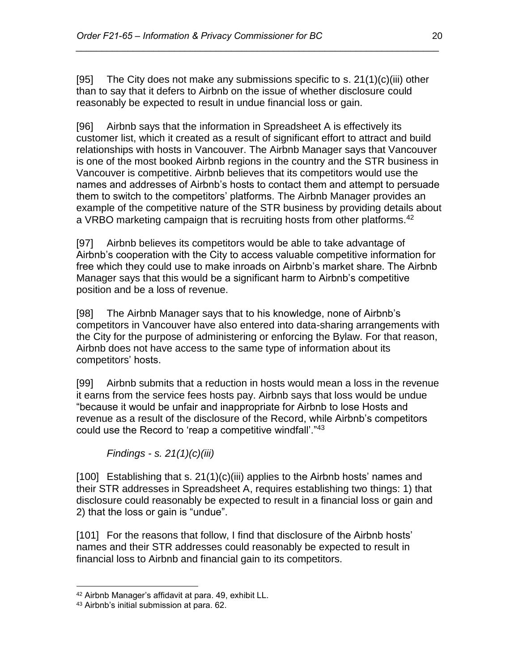[95] The City does not make any submissions specific to s.  $21(1)(c)(iii)$  other than to say that it defers to Airbnb on the issue of whether disclosure could reasonably be expected to result in undue financial loss or gain.

*\_\_\_\_\_\_\_\_\_\_\_\_\_\_\_\_\_\_\_\_\_\_\_\_\_\_\_\_\_\_\_\_\_\_\_\_\_\_\_\_\_\_\_\_\_\_\_\_\_\_\_\_\_\_\_\_\_\_\_\_\_\_\_\_\_\_\_\_\_\_*

[96] Airbnb says that the information in Spreadsheet A is effectively its customer list, which it created as a result of significant effort to attract and build relationships with hosts in Vancouver. The Airbnb Manager says that Vancouver is one of the most booked Airbnb regions in the country and the STR business in Vancouver is competitive. Airbnb believes that its competitors would use the names and addresses of Airbnb's hosts to contact them and attempt to persuade them to switch to the competitors' platforms. The Airbnb Manager provides an example of the competitive nature of the STR business by providing details about a VRBO marketing campaign that is recruiting hosts from other platforms.<sup>42</sup>

[97] Airbnb believes its competitors would be able to take advantage of Airbnb's cooperation with the City to access valuable competitive information for free which they could use to make inroads on Airbnb's market share. The Airbnb Manager says that this would be a significant harm to Airbnb's competitive position and be a loss of revenue.

[98] The Airbnb Manager says that to his knowledge, none of Airbnb's competitors in Vancouver have also entered into data-sharing arrangements with the City for the purpose of administering or enforcing the Bylaw. For that reason, Airbnb does not have access to the same type of information about its competitors' hosts.

[99] Airbnb submits that a reduction in hosts would mean a loss in the revenue it earns from the service fees hosts pay. Airbnb says that loss would be undue "because it would be unfair and inappropriate for Airbnb to lose Hosts and revenue as a result of the disclosure of the Record, while Airbnb's competitors could use the Record to 'reap a competitive windfall'."<sup>43</sup>

*Findings - s. 21(1)(c)(iii)*

[100] Establishing that s. 21(1)(c)(iii) applies to the Airbnb hosts' names and their STR addresses in Spreadsheet A, requires establishing two things: 1) that disclosure could reasonably be expected to result in a financial loss or gain and 2) that the loss or gain is "undue".

[101] For the reasons that follow, I find that disclosure of the Airbnb hosts' names and their STR addresses could reasonably be expected to result in financial loss to Airbnb and financial gain to its competitors.

<sup>42</sup> Airbnb Manager's affidavit at para. 49, exhibit LL.

<sup>43</sup> Airbnb's initial submission at para. 62.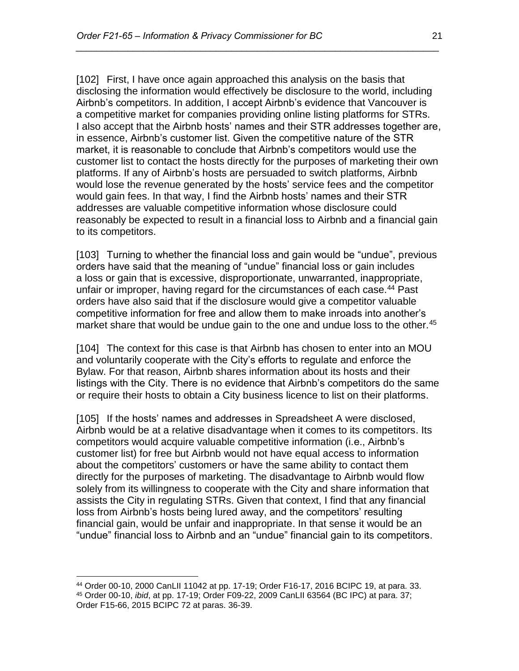[102] First, I have once again approached this analysis on the basis that disclosing the information would effectively be disclosure to the world, including Airbnb's competitors. In addition, I accept Airbnb's evidence that Vancouver is a competitive market for companies providing online listing platforms for STRs. I also accept that the Airbnb hosts' names and their STR addresses together are, in essence, Airbnb's customer list. Given the competitive nature of the STR market, it is reasonable to conclude that Airbnb's competitors would use the customer list to contact the hosts directly for the purposes of marketing their own platforms. If any of Airbnb's hosts are persuaded to switch platforms, Airbnb would lose the revenue generated by the hosts' service fees and the competitor would gain fees. In that way, I find the Airbnb hosts' names and their STR addresses are valuable competitive information whose disclosure could reasonably be expected to result in a financial loss to Airbnb and a financial gain to its competitors.

*\_\_\_\_\_\_\_\_\_\_\_\_\_\_\_\_\_\_\_\_\_\_\_\_\_\_\_\_\_\_\_\_\_\_\_\_\_\_\_\_\_\_\_\_\_\_\_\_\_\_\_\_\_\_\_\_\_\_\_\_\_\_\_\_\_\_\_\_\_\_*

[103] Turning to whether the financial loss and gain would be "undue", previous orders have said that the meaning of "undue" financial loss or gain includes a loss or gain that is excessive, disproportionate, unwarranted, inappropriate, unfair or improper, having regard for the circumstances of each case.<sup>44</sup> Past orders have also said that if the disclosure would give a competitor valuable competitive information for free and allow them to make inroads into another's market share that would be undue gain to the one and undue loss to the other.<sup>45</sup>

[104] The context for this case is that Airbnb has chosen to enter into an MOU and voluntarily cooperate with the City's efforts to regulate and enforce the Bylaw. For that reason, Airbnb shares information about its hosts and their listings with the City. There is no evidence that Airbnb's competitors do the same or require their hosts to obtain a City business licence to list on their platforms.

[105] If the hosts' names and addresses in Spreadsheet A were disclosed, Airbnb would be at a relative disadvantage when it comes to its competitors. Its competitors would acquire valuable competitive information (i.e., Airbnb's customer list) for free but Airbnb would not have equal access to information about the competitors' customers or have the same ability to contact them directly for the purposes of marketing. The disadvantage to Airbnb would flow solely from its willingness to cooperate with the City and share information that assists the City in regulating STRs. Given that context, I find that any financial loss from Airbnb's hosts being lured away, and the competitors' resulting financial gain, would be unfair and inappropriate. In that sense it would be an "undue" financial loss to Airbnb and an "undue" financial gain to its competitors.

 $\overline{a}$ <sup>44</sup> Order 00-10, 2000 CanLII 11042 at pp. 17-19; Order F16-17, 2016 BCIPC 19, at para. 33.

<sup>45</sup> Order 00-10, *ibid*, at pp. 17-19; Order F09-22, 2009 CanLII 63564 (BC IPC) at para. 37; Order F15-66, 2015 BCIPC 72 at paras. 36-39.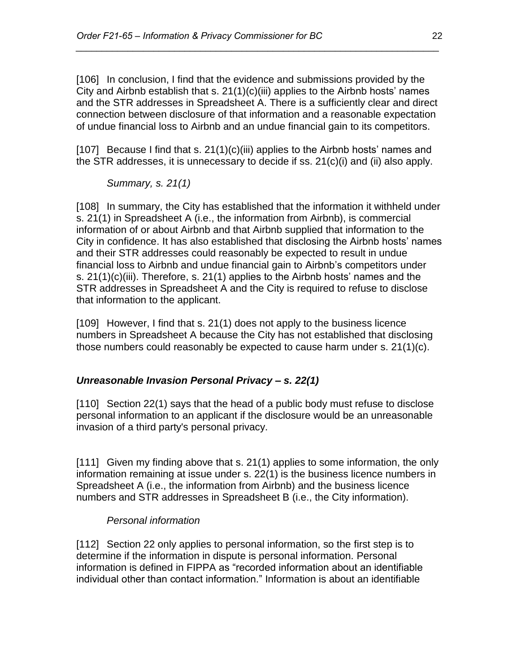[106] In conclusion, I find that the evidence and submissions provided by the City and Airbnb establish that s.  $21(1)(c)(iii)$  applies to the Airbnb hosts' names and the STR addresses in Spreadsheet A. There is a sufficiently clear and direct connection between disclosure of that information and a reasonable expectation of undue financial loss to Airbnb and an undue financial gain to its competitors.

*\_\_\_\_\_\_\_\_\_\_\_\_\_\_\_\_\_\_\_\_\_\_\_\_\_\_\_\_\_\_\_\_\_\_\_\_\_\_\_\_\_\_\_\_\_\_\_\_\_\_\_\_\_\_\_\_\_\_\_\_\_\_\_\_\_\_\_\_\_\_*

[107] Because I find that s. 21(1)(c)(iii) applies to the Airbnb hosts' names and the STR addresses, it is unnecessary to decide if ss. 21(c)(i) and (ii) also apply.

*Summary, s. 21(1)*

[108] In summary, the City has established that the information it withheld under s. 21(1) in Spreadsheet A (i.e., the information from Airbnb), is commercial information of or about Airbnb and that Airbnb supplied that information to the City in confidence. It has also established that disclosing the Airbnb hosts' names and their STR addresses could reasonably be expected to result in undue financial loss to Airbnb and undue financial gain to Airbnb's competitors under s. 21(1)(c)(iii). Therefore, s. 21(1) applies to the Airbnb hosts' names and the STR addresses in Spreadsheet A and the City is required to refuse to disclose that information to the applicant.

[109] However, I find that s. 21(1) does not apply to the business licence numbers in Spreadsheet A because the City has not established that disclosing those numbers could reasonably be expected to cause harm under s. 21(1)(c).

## *Unreasonable Invasion Personal Privacy – s. 22(1)*

[110] Section 22(1) says that the head of a public body must refuse to disclose personal information to an applicant if the disclosure would be an unreasonable invasion of a third party's personal privacy.

[111] Given my finding above that s. 21(1) applies to some information, the only information remaining at issue under s. 22(1) is the business licence numbers in Spreadsheet A (i.e., the information from Airbnb) and the business licence numbers and STR addresses in Spreadsheet B (i.e., the City information).

## *Personal information*

[112] Section 22 only applies to personal information, so the first step is to determine if the information in dispute is personal information. Personal information is defined in FIPPA as "recorded information about an identifiable individual other than contact information." Information is about an identifiable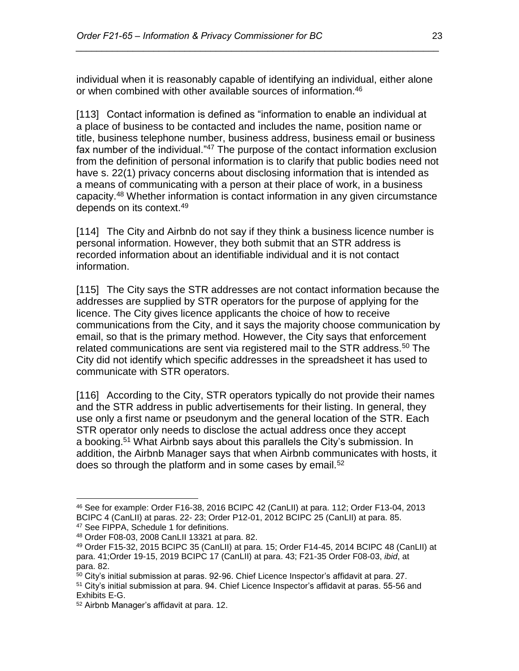individual when it is reasonably capable of identifying an individual, either alone or when combined with other available sources of information.<sup>46</sup>

*\_\_\_\_\_\_\_\_\_\_\_\_\_\_\_\_\_\_\_\_\_\_\_\_\_\_\_\_\_\_\_\_\_\_\_\_\_\_\_\_\_\_\_\_\_\_\_\_\_\_\_\_\_\_\_\_\_\_\_\_\_\_\_\_\_\_\_\_\_\_*

[113] Contact information is defined as "information to enable an individual at a place of business to be contacted and includes the name, position name or title, business telephone number, business address, business email or business fax number of the individual."<sup>47</sup> The purpose of the contact information exclusion from the definition of personal information is to clarify that public bodies need not have s. 22(1) privacy concerns about disclosing information that is intended as a means of communicating with a person at their place of work, in a business capacity.<sup>48</sup> Whether information is contact information in any given circumstance depends on its context.<sup>49</sup>

[114] The City and Airbnb do not say if they think a business licence number is personal information. However, they both submit that an STR address is recorded information about an identifiable individual and it is not contact information.

[115] The City says the STR addresses are not contact information because the addresses are supplied by STR operators for the purpose of applying for the licence. The City gives licence applicants the choice of how to receive communications from the City, and it says the majority choose communication by email, so that is the primary method. However, the City says that enforcement related communications are sent via registered mail to the STR address.<sup>50</sup> The City did not identify which specific addresses in the spreadsheet it has used to communicate with STR operators.

[116] According to the City, STR operators typically do not provide their names and the STR address in public advertisements for their listing. In general, they use only a first name or pseudonym and the general location of the STR. Each STR operator only needs to disclose the actual address once they accept a booking.<sup>51</sup> What Airbnb says about this parallels the City's submission. In addition, the Airbnb Manager says that when Airbnb communicates with hosts, it does so through the platform and in some cases by email.<sup>52</sup>

<sup>46</sup> See for example: Order F16-38, 2016 BCIPC 42 (CanLII) at para. 112; Order F13-04, 2013 BCIPC 4 (CanLII) at paras. 22- 23; Order P12-01, 2012 BCIPC 25 (CanLII) at para. 85. <sup>47</sup> See FIPPA, Schedule 1 for definitions.

<sup>48</sup> Order F08-03, 2008 CanLII 13321 at para. 82.

<sup>49</sup> Order F15-32, 2015 BCIPC 35 (CanLII) at para. 15; Order F14-45, 2014 BCIPC 48 (CanLII) at para. 41;Order 19-15, 2019 BCIPC 17 (CanLII) at para. 43; F21-35 Order F08-03, *ibid*, at para. 82.

 $50$  City's initial submission at paras. 92-96. Chief Licence Inspector's affidavit at para. 27.

<sup>&</sup>lt;sup>51</sup> City's initial submission at para. 94. Chief Licence Inspector's affidavit at paras. 55-56 and Exhibits E-G.

<sup>52</sup> Airbnb Manager's affidavit at para. 12.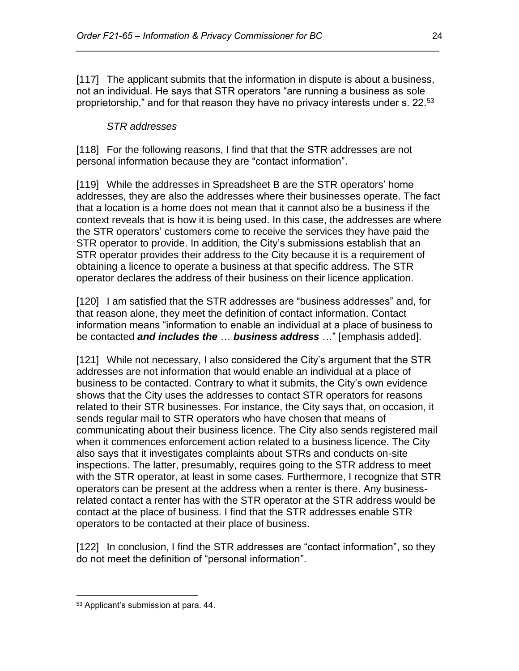[117] The applicant submits that the information in dispute is about a business, not an individual. He says that STR operators "are running a business as sole proprietorship," and for that reason they have no privacy interests under s. 22.<sup>53</sup>

*\_\_\_\_\_\_\_\_\_\_\_\_\_\_\_\_\_\_\_\_\_\_\_\_\_\_\_\_\_\_\_\_\_\_\_\_\_\_\_\_\_\_\_\_\_\_\_\_\_\_\_\_\_\_\_\_\_\_\_\_\_\_\_\_\_\_\_\_\_\_*

## *STR addresses*

[118] For the following reasons, I find that that the STR addresses are not personal information because they are "contact information".

[119] While the addresses in Spreadsheet B are the STR operators' home addresses, they are also the addresses where their businesses operate. The fact that a location is a home does not mean that it cannot also be a business if the context reveals that is how it is being used. In this case, the addresses are where the STR operators' customers come to receive the services they have paid the STR operator to provide. In addition, the City's submissions establish that an STR operator provides their address to the City because it is a requirement of obtaining a licence to operate a business at that specific address. The STR operator declares the address of their business on their licence application.

[120] I am satisfied that the STR addresses are "business addresses" and, for that reason alone, they meet the definition of contact information. Contact information means "information to enable an individual at a place of business to be contacted *and includes the* … *business address* …" [emphasis added].

[121] While not necessary, I also considered the City's argument that the STR addresses are not information that would enable an individual at a place of business to be contacted. Contrary to what it submits, the City's own evidence shows that the City uses the addresses to contact STR operators for reasons related to their STR businesses. For instance, the City says that, on occasion, it sends regular mail to STR operators who have chosen that means of communicating about their business licence. The City also sends registered mail when it commences enforcement action related to a business licence. The City also says that it investigates complaints about STRs and conducts on-site inspections. The latter, presumably, requires going to the STR address to meet with the STR operator, at least in some cases. Furthermore, I recognize that STR operators can be present at the address when a renter is there. Any businessrelated contact a renter has with the STR operator at the STR address would be contact at the place of business. I find that the STR addresses enable STR operators to be contacted at their place of business.

[122] In conclusion, I find the STR addresses are "contact information", so they do not meet the definition of "personal information".

<sup>53</sup> Applicant's submission at para. 44.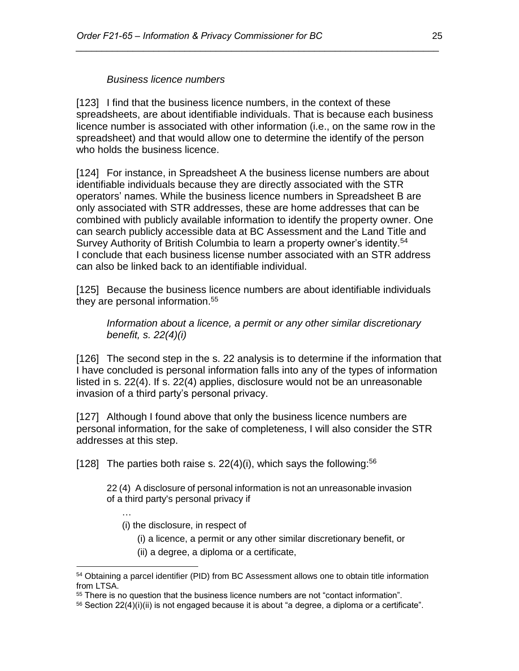#### *Business licence numbers*

[123] I find that the business licence numbers, in the context of these spreadsheets, are about identifiable individuals. That is because each business licence number is associated with other information (i.e., on the same row in the spreadsheet) and that would allow one to determine the identify of the person who holds the business licence.

*\_\_\_\_\_\_\_\_\_\_\_\_\_\_\_\_\_\_\_\_\_\_\_\_\_\_\_\_\_\_\_\_\_\_\_\_\_\_\_\_\_\_\_\_\_\_\_\_\_\_\_\_\_\_\_\_\_\_\_\_\_\_\_\_\_\_\_\_\_\_*

[124] For instance, in Spreadsheet A the business license numbers are about identifiable individuals because they are directly associated with the STR operators' names. While the business licence numbers in Spreadsheet B are only associated with STR addresses, these are home addresses that can be combined with publicly available information to identify the property owner. One can search publicly accessible data at BC Assessment and the Land Title and Survey Authority of British Columbia to learn a property owner's identity.<sup>54</sup> I conclude that each business license number associated with an STR address can also be linked back to an identifiable individual.

[125] Because the business licence numbers are about identifiable individuals they are personal information.<sup>55</sup>

*Information about a licence, a permit or any other similar discretionary benefit, s. 22(4)(i)*

[126] The second step in the s. 22 analysis is to determine if the information that I have concluded is personal information falls into any of the types of information listed in s. 22(4). If s. 22(4) applies, disclosure would not be an unreasonable invasion of a third party's personal privacy.

[127] Although I found above that only the business licence numbers are personal information, for the sake of completeness, I will also consider the STR addresses at this step.

[128] The parties both raise s.  $22(4)(i)$ , which says the following:<sup>56</sup>

22 (4) A disclosure of personal information is not an unreasonable invasion of a third party's personal privacy if

…

- (i) the disclosure, in respect of
	- (i) a licence, a permit or any other similar discretionary benefit, or
	- (ii) a degree, a diploma or a certificate,

<sup>&</sup>lt;sup>54</sup> Obtaining a parcel identifier (PID) from BC Assessment allows one to obtain title information from LTSA.

<sup>55</sup> There is no question that the business licence numbers are not "contact information".

 $56$  Section 22(4)(i)(ii) is not engaged because it is about "a degree, a diploma or a certificate".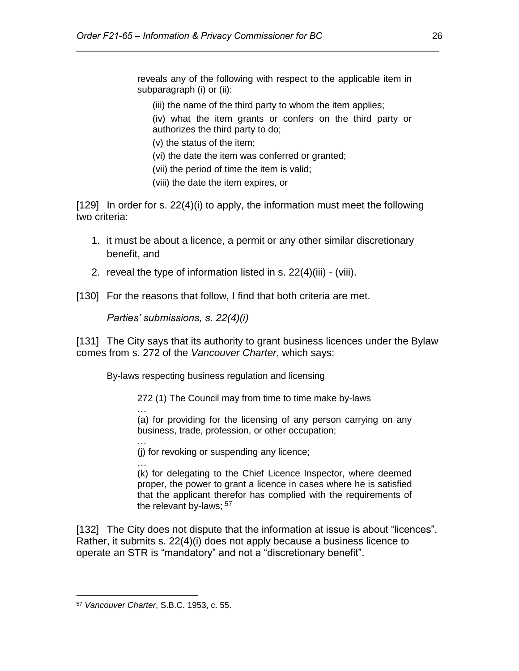reveals any of the following with respect to the applicable item in subparagraph (i) or (ii):

(iii) the name of the third party to whom the item applies;

*\_\_\_\_\_\_\_\_\_\_\_\_\_\_\_\_\_\_\_\_\_\_\_\_\_\_\_\_\_\_\_\_\_\_\_\_\_\_\_\_\_\_\_\_\_\_\_\_\_\_\_\_\_\_\_\_\_\_\_\_\_\_\_\_\_\_\_\_\_\_*

- (iv) what the item grants or confers on the third party or authorizes the third party to do;
- (v) the status of the item;
- (vi) the date the item was conferred or granted;
- (vii) the period of time the item is valid;
- (viii) the date the item expires, or

[129] In order for s. 22(4)(i) to apply, the information must meet the following two criteria:

- 1. it must be about a licence, a permit or any other similar discretionary benefit, and
- 2. reveal the type of information listed in s. 22(4)(iii) (viii).
- [130] For the reasons that follow, I find that both criteria are met.

*Parties' submissions, s. 22(4)(i)*

[131] The City says that its authority to grant business licences under the Bylaw comes from s. 272 of the *Vancouver Charter*, which says:

By-laws respecting business regulation and licensing

272 (1) The Council may from time to time make by-laws

(a) for providing for the licensing of any person carrying on any business, trade, profession, or other occupation;

… (j) for revoking or suspending any licence;

… (k) for delegating to the Chief Licence Inspector, where deemed proper, the power to grant a licence in cases where he is satisfied that the applicant therefor has complied with the requirements of the relevant by-laws; <sup>57</sup>

[132] The City does not dispute that the information at issue is about "licences". Rather, it submits s. 22(4)(i) does not apply because a business licence to operate an STR is "mandatory" and not a "discretionary benefit".

 $\overline{a}$ 

…

<sup>57</sup> *Vancouver Charter*, S.B.C. 1953, c. 55.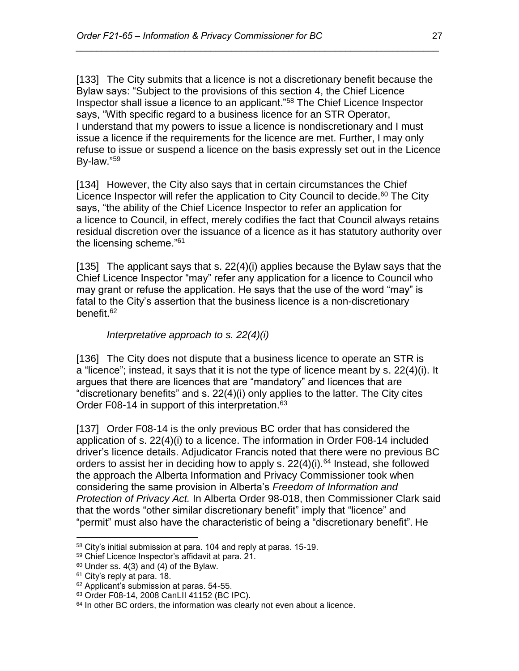[133] The City submits that a licence is not a discretionary benefit because the Bylaw says: "Subject to the provisions of this section 4, the Chief Licence Inspector shall issue a licence to an applicant."<sup>58</sup> The Chief Licence Inspector says, "With specific regard to a business licence for an STR Operator, I understand that my powers to issue a licence is nondiscretionary and I must issue a licence if the requirements for the licence are met. Further, I may only refuse to issue or suspend a licence on the basis expressly set out in the Licence By-law."<sup>59</sup>

*\_\_\_\_\_\_\_\_\_\_\_\_\_\_\_\_\_\_\_\_\_\_\_\_\_\_\_\_\_\_\_\_\_\_\_\_\_\_\_\_\_\_\_\_\_\_\_\_\_\_\_\_\_\_\_\_\_\_\_\_\_\_\_\_\_\_\_\_\_\_*

[134] However, the City also says that in certain circumstances the Chief Licence Inspector will refer the application to City Council to decide.<sup>60</sup> The City says, "the ability of the Chief Licence Inspector to refer an application for a licence to Council, in effect, merely codifies the fact that Council always retains residual discretion over the issuance of a licence as it has statutory authority over the licensing scheme."<sup>61</sup>

[135] The applicant says that s.  $22(4)(i)$  applies because the Bylaw says that the Chief Licence Inspector "may" refer any application for a licence to Council who may grant or refuse the application. He says that the use of the word "may" is fatal to the City's assertion that the business licence is a non-discretionary benefit.<sup>62</sup>

## *Interpretative approach to s. 22(4)(i)*

[136] The City does not dispute that a business licence to operate an STR is a "licence"; instead, it says that it is not the type of licence meant by s. 22(4)(i). It argues that there are licences that are "mandatory" and licences that are "discretionary benefits" and s. 22(4)(i) only applies to the latter. The City cites Order F08-14 in support of this interpretation.<sup>63</sup>

[137] Order F08-14 is the only previous BC order that has considered the application of s. 22(4)(i) to a licence. The information in Order F08-14 included driver's licence details. Adjudicator Francis noted that there were no previous BC orders to assist her in deciding how to apply s.  $22(4)(i).<sup>64</sup>$  Instead, she followed the approach the Alberta Information and Privacy Commissioner took when considering the same provision in Alberta's *Freedom of Information and Protection of Privacy Act.* In Alberta Order 98-018, then Commissioner Clark said that the words "other similar discretionary benefit" imply that "licence" and "permit" must also have the characteristic of being a "discretionary benefit". He

 $\overline{a}$ <sup>58</sup> City's initial submission at para. 104 and reply at paras. 15-19.

<sup>59</sup> Chief Licence Inspector's affidavit at para. 21.

 $60$  Under ss. 4(3) and (4) of the Bylaw.

<sup>&</sup>lt;sup>61</sup> City's reply at para. 18.

<sup>62</sup> Applicant's submission at paras. 54-55.

<sup>63</sup> Order F08-14, 2008 CanLII 41152 (BC IPC).

 $64$  In other BC orders, the information was clearly not even about a licence.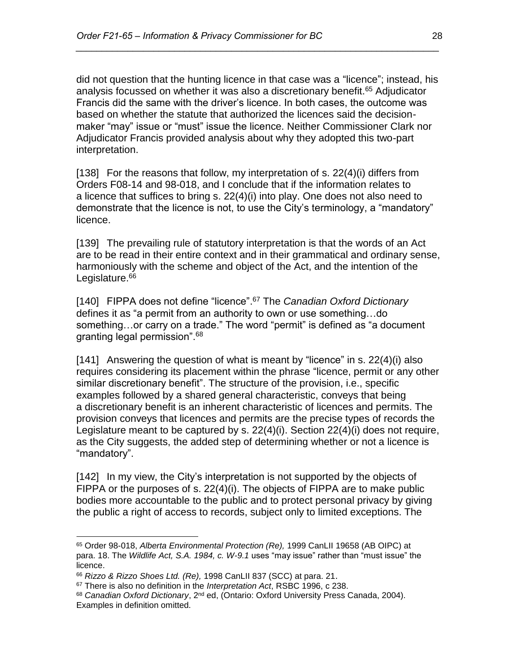did not question that the hunting licence in that case was a "licence"; instead, his analysis focussed on whether it was also a discretionary benefit.<sup>65</sup> Adjudicator Francis did the same with the driver's licence. In both cases, the outcome was based on whether the statute that authorized the licences said the decisionmaker "may" issue or "must" issue the licence. Neither Commissioner Clark nor Adjudicator Francis provided analysis about why they adopted this two-part interpretation.

*\_\_\_\_\_\_\_\_\_\_\_\_\_\_\_\_\_\_\_\_\_\_\_\_\_\_\_\_\_\_\_\_\_\_\_\_\_\_\_\_\_\_\_\_\_\_\_\_\_\_\_\_\_\_\_\_\_\_\_\_\_\_\_\_\_\_\_\_\_\_*

[138] For the reasons that follow, my interpretation of s. 22(4)(i) differs from Orders F08-14 and 98-018, and I conclude that if the information relates to a licence that suffices to bring s. 22(4)(i) into play. One does not also need to demonstrate that the licence is not, to use the City's terminology, a "mandatory" licence.

[139] The prevailing rule of statutory interpretation is that the words of an Act are to be read in their entire context and in their grammatical and ordinary sense, harmoniously with the scheme and object of the Act, and the intention of the Legislature.<sup>66</sup>

[140] FIPPA does not define "licence". <sup>67</sup> The *Canadian Oxford Dictionary*  defines it as "a permit from an authority to own or use something…do something…or carry on a trade." The word "permit" is defined as "a document granting legal permission".<sup>68</sup>

[141] Answering the question of what is meant by "licence" in s. 22(4)(i) also requires considering its placement within the phrase "licence, permit or any other similar discretionary benefit". The structure of the provision, i.e., specific examples followed by a shared general characteristic, conveys that being a discretionary benefit is an inherent characteristic of licences and permits. The provision conveys that licences and permits are the precise types of records the Legislature meant to be captured by s. 22(4)(i). Section 22(4)(i) does not require, as the City suggests, the added step of determining whether or not a licence is "mandatory".

[142] In my view, the City's interpretation is not supported by the objects of FIPPA or the purposes of s. 22(4)(i). The objects of FIPPA are to make public bodies more accountable to the public and to protect personal privacy by giving the public a right of access to records, subject only to limited exceptions. The

<sup>65</sup> Order 98-018, *Alberta Environmental Protection (Re),* 1999 CanLII 19658 (AB OIPC) at para. 18. The *Wildlife Act, S.A. 1984, c. W-9.1* uses "may issue" rather than "must issue" the licence.

<sup>66</sup> *Rizzo & Rizzo Shoes Ltd. (Re),* 1998 CanLII 837 (SCC) at para. 21.

<sup>67</sup> There is also no definition in the *Interpretation Act*, RSBC 1996, c 238.

<sup>68</sup> *Canadian Oxford Dictionary*, 2nd ed, (Ontario: Oxford University Press Canada, 2004). Examples in definition omitted.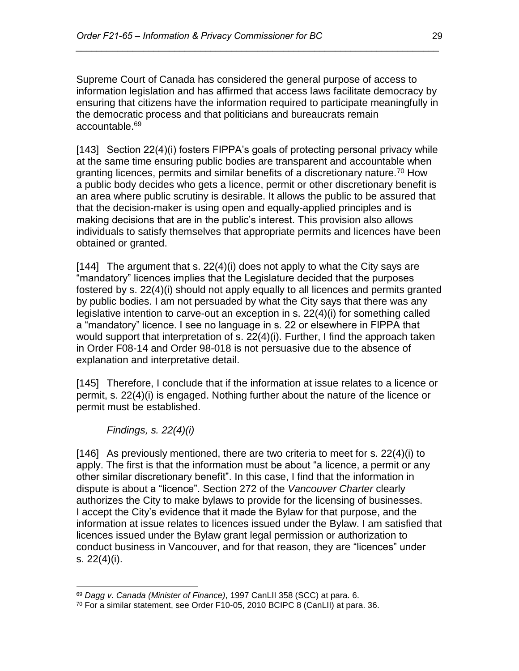Supreme Court of Canada has considered the general purpose of access to information legislation and has affirmed that access laws facilitate democracy by ensuring that citizens have the information required to participate meaningfully in the democratic process and that politicians and bureaucrats remain accountable.<sup>69</sup>

*\_\_\_\_\_\_\_\_\_\_\_\_\_\_\_\_\_\_\_\_\_\_\_\_\_\_\_\_\_\_\_\_\_\_\_\_\_\_\_\_\_\_\_\_\_\_\_\_\_\_\_\_\_\_\_\_\_\_\_\_\_\_\_\_\_\_\_\_\_\_*

[143] Section 22(4)(i) fosters FIPPA's goals of protecting personal privacy while at the same time ensuring public bodies are transparent and accountable when granting licences, permits and similar benefits of a discretionary nature.<sup>70</sup> How a public body decides who gets a licence, permit or other discretionary benefit is an area where public scrutiny is desirable. It allows the public to be assured that that the decision-maker is using open and equally-applied principles and is making decisions that are in the public's interest. This provision also allows individuals to satisfy themselves that appropriate permits and licences have been obtained or granted.

[144] The argument that s. 22(4)(i) does not apply to what the City says are "mandatory" licences implies that the Legislature decided that the purposes fostered by s. 22(4)(i) should not apply equally to all licences and permits granted by public bodies. I am not persuaded by what the City says that there was any legislative intention to carve-out an exception in s. 22(4)(i) for something called a "mandatory" licence. I see no language in s. 22 or elsewhere in FIPPA that would support that interpretation of s. 22(4)(i). Further, I find the approach taken in Order F08-14 and Order 98-018 is not persuasive due to the absence of explanation and interpretative detail.

[145] Therefore, I conclude that if the information at issue relates to a licence or permit, s. 22(4)(i) is engaged. Nothing further about the nature of the licence or permit must be established.

*Findings, s. 22(4)(i)*

 $\overline{a}$ 

[146] As previously mentioned, there are two criteria to meet for s. 22(4)(i) to apply. The first is that the information must be about "a licence, a permit or any other similar discretionary benefit". In this case, I find that the information in dispute is about a "licence". Section 272 of the *Vancouver Charter* clearly authorizes the City to make bylaws to provide for the licensing of businesses. I accept the City's evidence that it made the Bylaw for that purpose, and the information at issue relates to licences issued under the Bylaw. I am satisfied that licences issued under the Bylaw grant legal permission or authorization to conduct business in Vancouver, and for that reason, they are "licences" under s. 22(4)(i).

<sup>69</sup> *Dagg v. Canada (Minister of Finance)*, 1997 CanLII 358 (SCC) at para. 6.

<sup>70</sup> For a similar statement, see Order F10-05, 2010 BCIPC 8 (CanLII) at para. 36.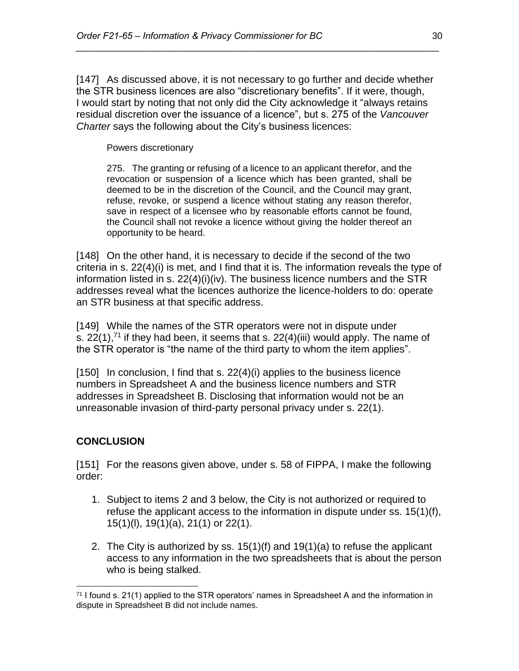[147] As discussed above, it is not necessary to go further and decide whether the STR business licences are also "discretionary benefits". If it were, though, I would start by noting that not only did the City acknowledge it "always retains residual discretion over the issuance of a licence", but s. 275 of the *Vancouver Charter* says the following about the City's business licences:

*\_\_\_\_\_\_\_\_\_\_\_\_\_\_\_\_\_\_\_\_\_\_\_\_\_\_\_\_\_\_\_\_\_\_\_\_\_\_\_\_\_\_\_\_\_\_\_\_\_\_\_\_\_\_\_\_\_\_\_\_\_\_\_\_\_\_\_\_\_\_*

Powers discretionary

275. The granting or refusing of a licence to an applicant therefor, and the revocation or suspension of a licence which has been granted, shall be deemed to be in the discretion of the Council, and the Council may grant, refuse, revoke, or suspend a licence without stating any reason therefor, save in respect of a licensee who by reasonable efforts cannot be found, the Council shall not revoke a licence without giving the holder thereof an opportunity to be heard.

[148] On the other hand, it is necessary to decide if the second of the two criteria in s. 22(4)(i) is met, and I find that it is. The information reveals the type of information listed in s. 22(4)(i)(iv). The business licence numbers and the STR addresses reveal what the licences authorize the licence-holders to do: operate an STR business at that specific address.

[149] While the names of the STR operators were not in dispute under s. 22(1),<sup>71</sup> if they had been, it seems that s. 22(4)(iii) would apply. The name of the STR operator is "the name of the third party to whom the item applies".

[150] In conclusion, I find that s. 22(4)(i) applies to the business licence numbers in Spreadsheet A and the business licence numbers and STR addresses in Spreadsheet B. Disclosing that information would not be an unreasonable invasion of third-party personal privacy under s. 22(1).

## **CONCLUSION**

[151] For the reasons given above, under s. 58 of FIPPA, I make the following order:

- 1. Subject to items 2 and 3 below, the City is not authorized or required to refuse the applicant access to the information in dispute under ss. 15(1)(f), 15(1)(l), 19(1)(a), 21(1) or 22(1).
- 2. The City is authorized by ss. 15(1)(f) and 19(1)(a) to refuse the applicant access to any information in the two spreadsheets that is about the person who is being stalked.

 $\overline{a}$  $71$  I found s. 21(1) applied to the STR operators' names in Spreadsheet A and the information in dispute in Spreadsheet B did not include names.